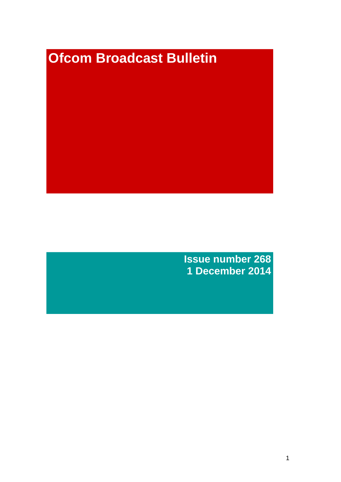# **Ofcom Broadcast Bulletin**

**Issue number 268 1 December 2014**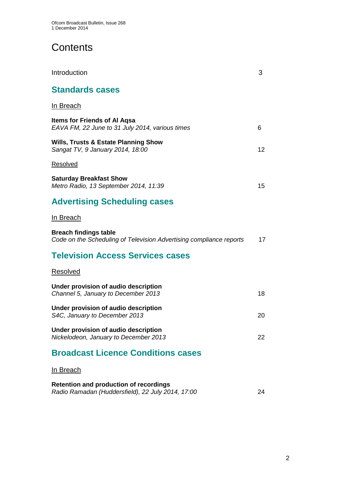# **Contents**

| Introduction                                                                                        | 3  |
|-----------------------------------------------------------------------------------------------------|----|
| <b>Standards cases</b>                                                                              |    |
| <u>In Breach</u>                                                                                    |    |
| <b>Items for Friends of AI Agsa</b><br>EAVA FM, 22 June to 31 July 2014, various times              | 6  |
| <b>Wills, Trusts &amp; Estate Planning Show</b><br>Sangat TV, 9 January 2014, 18:00                 | 12 |
| <b>Resolved</b>                                                                                     |    |
| <b>Saturday Breakfast Show</b><br>Metro Radio, 13 September 2014, 11:39                             | 15 |
| <b>Advertising Scheduling cases</b>                                                                 |    |
| In Breach                                                                                           |    |
| <b>Breach findings table</b><br>Code on the Scheduling of Television Advertising compliance reports | 17 |
| <b>Television Access Services cases</b>                                                             |    |
| Resolved                                                                                            |    |
| Under provision of audio description<br>Channel 5, January to December 2013                         | 18 |
| Under provision of audio description<br>S4C, January to December 2013                               | 20 |
| Under provision of audio description<br>Nickelodeon, January to December 2013                       | 22 |
| <b>Broadcast Licence Conditions cases</b>                                                           |    |
| <u>In Breach</u>                                                                                    |    |

| <b>Retention and production of recordings</b>     |    |
|---------------------------------------------------|----|
| Radio Ramadan (Huddersfield), 22 July 2014, 17:00 | 24 |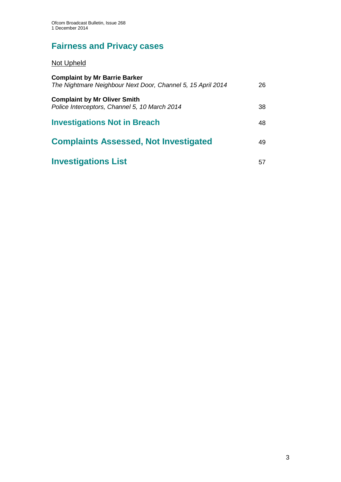# **Fairness and Privacy cases**

# Not Upheld

| <b>Complaint by Mr Barrie Barker</b><br>The Nightmare Neighbour Next Door, Channel 5, 15 April 2014 | 26 |
|-----------------------------------------------------------------------------------------------------|----|
| <b>Complaint by Mr Oliver Smith</b><br>Police Interceptors, Channel 5, 10 March 2014                | 38 |
| <b>Investigations Not in Breach</b>                                                                 | 48 |
| <b>Complaints Assessed, Not Investigated</b>                                                        | 49 |
| <b>Investigations List</b>                                                                          | 57 |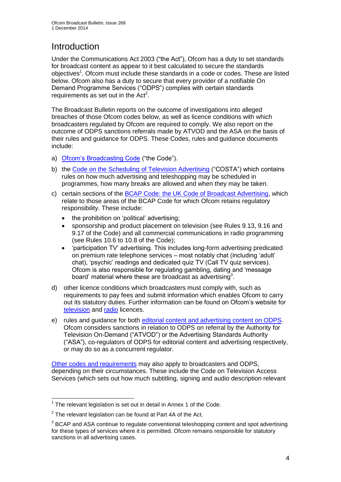# **Introduction**

Under the Communications Act 2003 ("the Act"), Ofcom has a duty to set standards for broadcast content as appear to it best calculated to secure the standards objectives<sup>1</sup>. Ofcom must include these standards in a code or codes. These are listed below. Ofcom also has a duty to secure that every provider of a notifiable On Demand Programme Services ("ODPS") complies with certain standards requirements as set out in the  $Act<sup>2</sup>$ .

The Broadcast Bulletin reports on the outcome of investigations into alleged breaches of those Ofcom codes below, as well as licence conditions with which broadcasters regulated by Ofcom are required to comply. We also report on the outcome of ODPS sanctions referrals made by ATVOD and the ASA on the basis of their rules and guidance for ODPS. These Codes, rules and guidance documents include:

- a) [Ofcom's Broadcasting Code](http://stakeholders.ofcom.org.uk/broadcasting/broadcast-codes/broadcast-code/) ("the Code").
- b) the Code on [the Scheduling of Television Advertising](http://stakeholders.ofcom.org.uk/broadcasting/broadcast-codes/advert-code/) ("COSTA") which contains rules on how much advertising and teleshopping may be scheduled in programmes, how many breaks are allowed and when they may be taken.
- c) certain sections of the [BCAP Code: the UK Code of Broadcast Advertising,](http://www.bcap.org.uk/Advertising-Codes/Broadcast-HTML.aspx) which relate to those areas of the BCAP Code for which Ofcom retains regulatory responsibility. These include:
	- the prohibition on 'political' advertising:
	- sponsorship and product placement on television (see Rules 9.13, 9.16 and 9.17 of the Code) and all commercial communications in radio programming (see Rules 10.6 to 10.8 of the Code);
	- 'participation TV' advertising. This includes long-form advertising predicated on premium rate telephone services – most notably chat (including 'adult' chat), 'psychic' readings and dedicated quiz TV (Call TV quiz services). Ofcom is also responsible for regulating gambling, dating and 'message board' material where these are broadcast as advertising<sup>3</sup>.
- d) other licence conditions which broadcasters must comply with, such as requirements to pay fees and submit information which enables Ofcom to carry out its statutory duties. Further information can be found on Ofcom's website for [television](http://licensing.ofcom.org.uk/tv-broadcast-licences/) and [radio](http://licensing.ofcom.org.uk/radio-broadcast-licensing/) licences.
- e) rules and guidance for both [editorial content and advertising content on ODPS.](http://www.atvod.co.uk/uploads/files/ATVOD_Rules_and_Guidance_Ed_2.0_May_2012.pdf) Ofcom considers sanctions in relation to ODPS on referral by the Authority for Television On-Demand ("ATVOD") or the Advertising Standards Authority ("ASA"), co-regulators of ODPS for editorial content and advertising respectively, or may do so as a concurrent regulator.

[Other codes and requirements](http://stakeholders.ofcom.org.uk/broadcasting/broadcast-codes/) may also apply to broadcasters and ODPS, depending on their circumstances. These include the Code on Television Access Services (which sets out how much subtitling, signing and audio description relevant

<sup>1</sup>  $1$  The relevant legislation is set out in detail in Annex 1 of the Code.

 $2$  The relevant legislation can be found at Part 4A of the Act.

 $3$  BCAP and ASA continue to regulate conventional teleshopping content and spot advertising for these types of services where it is permitted. Ofcom remains responsible for statutory sanctions in all advertising cases.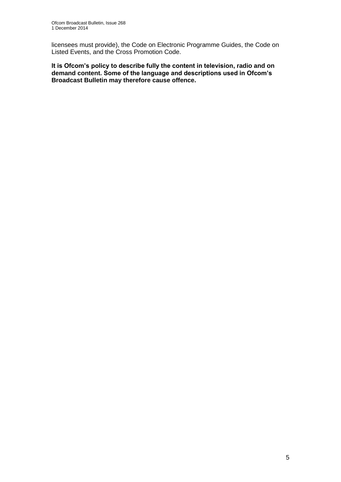licensees must provide), the Code on Electronic Programme Guides, the Code on Listed Events, and the Cross Promotion Code.

**It is Ofcom's policy to describe fully the content in television, radio and on demand content. Some of the language and descriptions used in Ofcom's Broadcast Bulletin may therefore cause offence.**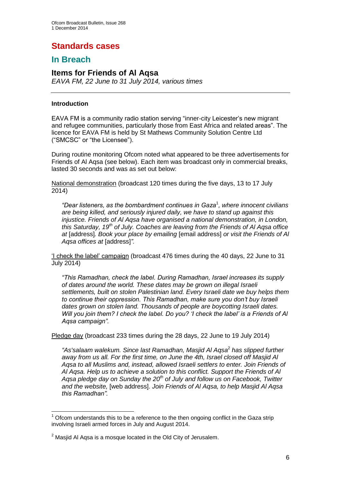# **Standards cases**

## **In Breach**

## **Items for Friends of Al Aqsa**

*EAVA FM, 22 June to 31 July 2014, various times*

#### **Introduction**

EAVA FM is a community radio station serving "inner-city Leicester's new migrant and refugee communities, particularly those from East Africa and related areas". The licence for EAVA FM is held by St Mathews Community Solution Centre Ltd ("SMCSC" or "the Licensee").

During routine monitoring Ofcom noted what appeared to be three advertisements for Friends of Al Aqsa (see below). Each item was broadcast only in commercial breaks, lasted 30 seconds and was as set out below:

National demonstration (broadcast 120 times during the five days, 13 to 17 July 2014)

*"Dear listeners, as the bombardment continues in Gaza*<sup>1</sup> *, where innocent civilians are being killed, and seriously injured daily, we have to stand up against this injustice. Friends of Al Aqsa have organised a national demonstration, in London, this Saturday, 19th of July. Coaches are leaving from the Friends of Al Aqsa office at* [address]*. Book your place by emailing* [email address] *or visit the Friends of Al Aqsa offices at* [address]*".* 

'I check the label' campaign (broadcast 476 times during the 40 days, 22 June to 31 July 2014)

*"This Ramadhan, check the label. During Ramadhan, Israel increases its supply of dates around the world. These dates may be grown on illegal Israeli settlements, built on stolen Palestinian land. Every Israeli date we buy helps them to continue their oppression. This Ramadhan, make sure you don't buy Israeli dates grown on stolen land. Thousands of people are boycotting Israeli dates. Will you join them? I check the label. Do you? 'I check the label' is a Friends of Al Aqsa campaign".*

Pledge day (broadcast 233 times during the 28 days, 22 June to 19 July 2014)

*"As'salaam walekum. Since last Ramadhan, Masjid Al Aqsa*<sup>2</sup> *has slipped further away from us all. For the first time, on June the 4th, Israel closed off Masjid Al Aqsa to all Muslims and, instead, allowed Israeli settlers to enter. Join Friends of Al Aqsa. Help us to achieve a solution to this conflict. Support the Friends of Al Aqsa pledge day on Sunday the 20th of July and follow us on Facebook, Twitter and the website,* [web address]. *Join Friends of Al Aqsa, to help Masjid Al Aqsa this Ramadhan".*

<sup>1</sup>  $<sup>1</sup>$  Ofcom understands this to be a reference to the then ongoing conflict in the Gaza strip</sup> involving Israeli armed forces in July and August 2014.

 $2$  Masjid Al Agsa is a mosque located in the Old City of Jerusalem.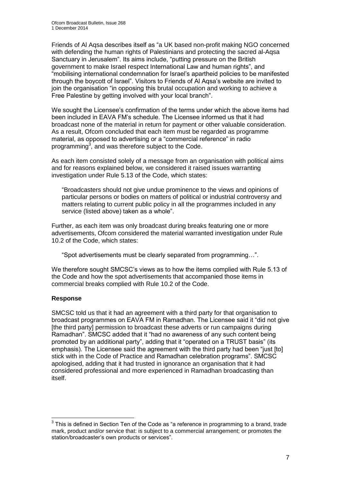Friends of Al Aqsa describes itself as "a UK based non-profit making NGO concerned with defending the human rights of Palestinians and protecting the sacred al-Aqsa Sanctuary in Jerusalem". Its aims include, "putting pressure on the British government to make Israel respect International Law and human rights", and "mobilising international condemnation for Israel's apartheid policies to be manifested through the boycott of Israel". Visitors to Friends of Al Aqsa's website are invited to join the organisation "in opposing this brutal occupation and working to achieve a Free Palestine by getting involved with your local branch".

We sought the Licensee's confirmation of the terms under which the above items had been included in EAVA FM's schedule. The Licensee informed us that it had broadcast none of the material in return for payment or other valuable consideration. As a result, Ofcom concluded that each item must be regarded as programme material, as opposed to advertising or a "commercial reference" in radio programming<sup>3</sup>, and was therefore subject to the Code.

As each item consisted solely of a message from an organisation with political aims and for reasons explained below, we considered it raised issues warranting investigation under Rule 5.13 of the Code, which states:

"Broadcasters should not give undue prominence to the views and opinions of particular persons or bodies on matters of political or industrial controversy and matters relating to current public policy in all the programmes included in any service (listed above) taken as a whole".

Further, as each item was only broadcast during breaks featuring one or more advertisements, Ofcom considered the material warranted investigation under Rule 10.2 of the Code, which states:

"Spot advertisements must be clearly separated from programming…".

We therefore sought SMCSC's views as to how the items complied with Rule 5.13 of the Code and how the spot advertisements that accompanied those items in commercial breaks complied with Rule 10.2 of the Code.

#### **Response**

1

SMCSC told us that it had an agreement with a third party for that organisation to broadcast programmes on EAVA FM in Ramadhan. The Licensee said it "did not give [the third party] permission to broadcast these adverts or run campaigns during Ramadhan". SMCSC added that it "had no awareness of any such content being promoted by an additional party", adding that it "operated on a TRUST basis" (its emphasis). The Licensee said the agreement with the third party had been "just [to] stick with in the Code of Practice and Ramadhan celebration programs". SMCSC apologised, adding that it had trusted in ignorance an organisation that it had considered professional and more experienced in Ramadhan broadcasting than itself.

 $3$  This is defined in Section Ten of the Code as "a reference in programming to a brand, trade mark, product and/or service that: is subject to a commercial arrangement; or promotes the station/broadcaster's own products or services".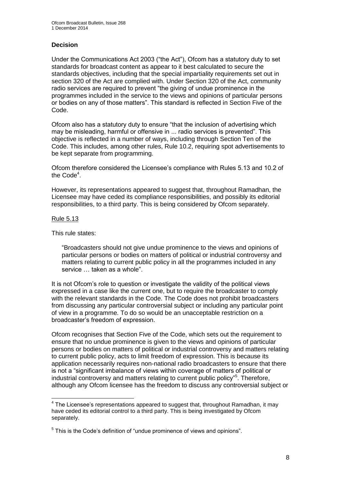#### **Decision**

Under the Communications Act 2003 ("the Act"), Ofcom has a statutory duty to set standards for broadcast content as appear to it best calculated to secure the standards objectives, including that the special impartiality requirements set out in section 320 of the Act are complied with. Under Section 320 of the Act, community radio services are required to prevent "the giving of undue prominence in the programmes included in the service to the views and opinions of particular persons or bodies on any of those matters". This standard is reflected in Section Five of the Code.

Ofcom also has a statutory duty to ensure "that the inclusion of advertising which may be misleading, harmful or offensive in ... radio services is prevented". This objective is reflected in a number of ways, including through Section Ten of the Code. This includes, among other rules, Rule 10.2, requiring spot advertisements to be kept separate from programming.

Ofcom therefore considered the Licensee's compliance with Rules 5.13 and 10.2 of the Code<sup>4</sup>.

However, its representations appeared to suggest that, throughout Ramadhan, the Licensee may have ceded its compliance responsibilities, and possibly its editorial responsibilities, to a third party. This is being considered by Ofcom separately.

#### Rule 5.13

This rule states:

"Broadcasters should not give undue prominence to the views and opinions of particular persons or bodies on matters of political or industrial controversy and matters relating to current public policy in all the programmes included in any service … taken as a whole".

It is not Ofcom's role to question or investigate the validity of the political views expressed in a case like the current one, but to require the broadcaster to comply with the relevant standards in the Code. The Code does not prohibit broadcasters from discussing any particular controversial subject or including any particular point of view in a programme. To do so would be an unacceptable restriction on a broadcaster's freedom of expression.

Ofcom recognises that Section Five of the Code, which sets out the requirement to ensure that no undue prominence is given to the views and opinions of particular persons or bodies on matters of political or industrial controversy and matters relating to current public policy, acts to limit freedom of expression. This is because its application necessarily requires non-national radio broadcasters to ensure that there is not a "significant imbalance of views within coverage of matters of political or industrial controversy and matters relating to current public policy"<sup>5</sup> . Therefore, although any Ofcom licensee has the freedom to discuss any controversial subject or

<sup>1</sup>  $4$  The Licensee's representations appeared to suggest that, throughout Ramadhan, it may have ceded its editorial control to a third party. This is being investigated by Ofcom separately.

<sup>&</sup>lt;sup>5</sup> This is the Code's definition of "undue prominence of views and opinions".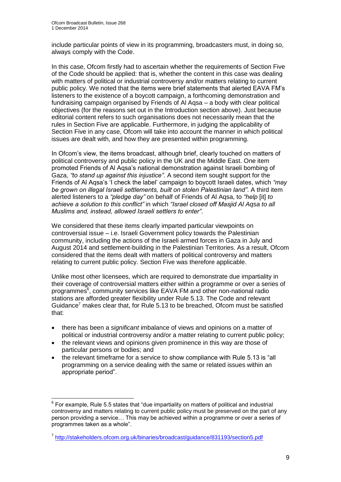1

include particular points of view in its programming, broadcasters must, in doing so, always comply with the Code.

In this case, Ofcom firstly had to ascertain whether the requirements of Section Five of the Code should be applied: that is, whether the content in this case was dealing with matters of political or industrial controversy and/or matters relating to current public policy. We noted that the items were brief statements that alerted EAVA FM's listeners to the existence of a boycott campaign, a forthcoming demonstration and fundraising campaign organised by Friends of Al Aqsa – a body with clear political objectives (for the reasons set out in the Introduction section above). Just because editorial content refers to such organisations does not necessarily mean that the rules in Section Five are applicable. Furthermore, in judging the applicability of Section Five in any case, Ofcom will take into account the manner in which political issues are dealt with, and how they are presented within programming.

In Ofcom's view, the items broadcast, although brief, clearly touched on matters of political controversy and public policy in the UK and the Middle East. One item promoted Friends of Al Aqsa's national demonstration against Israeli bombing of Gaza, *"to stand up against this injustice"*. A second item sought support for the Friends of Al Aqsa's 'I check the label' campaign to boycott Israeli dates, which *"may be grown on illegal Israeli settlements, built on stolen Palestinian land"*. A third item alerted listeners to a *"pledge day"* on behalf of Friends of Al Aqsa, to *"help* [it] *to achieve a solution to this conflict"* in which *"Israel closed off Masjid Al Aqsa to all Muslims and, instead, allowed Israeli settlers to enter"*.

We considered that these items clearly imparted particular viewpoints on controversial issue – i.e. Israeli Government policy towards the Palestinian community, including the actions of the Israeli armed forces in Gaza in July and August 2014 and settlement-building in the Palestinian Territories. As a result, Ofcom considered that the items dealt with matters of political controversy and matters relating to current public policy. Section Five was therefore applicable.

Unlike most other licensees, which are required to demonstrate due impartiality in their coverage of controversial matters either within a programme or over a series of programmes<sup>6</sup>, community services like EAVA FM and other non-national radio stations are afforded greater flexibility under Rule 5.13. The Code and relevant Guidance<sup>7</sup> makes clear that, for Rule 5.13 to be breached, Ofcom must be satisfied that:

- there has been a *significant* imbalance of views and opinions on a matter of political or industrial controversy and/or a matter relating to current public policy;
- the relevant views and opinions given prominence in this way are those of particular persons or bodies; and
- the relevant timeframe for a service to show compliance with Rule 5.13 is "all programming on a service dealing with the same or related issues within an appropriate period".

 $6$  For example, Rule 5.5 states that "due impartiality on matters of political and industrial controversy and matters relating to current public policy must be preserved on the part of any person providing a service… This may be achieved within a programme or over a series of programmes taken as a whole".

<sup>&</sup>lt;sup>7</sup> <http://stakeholders.ofcom.org.uk/binaries/broadcast/guidance/831193/section5.pdf>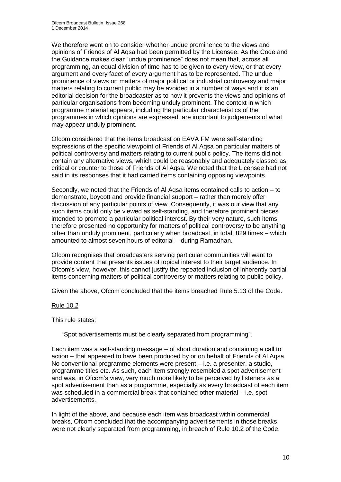We therefore went on to consider whether undue prominence to the views and opinions of Friends of Al Aqsa had been permitted by the Licensee. As the Code and the Guidance makes clear "undue prominence" does not mean that, across all programming, an equal division of time has to be given to every view, or that every argument and every facet of every argument has to be represented. The undue prominence of views on matters of major political or industrial controversy and major matters relating to current public may be avoided in a number of ways and it is an editorial decision for the broadcaster as to how it prevents the views and opinions of particular organisations from becoming unduly prominent. The context in which programme material appears, including the particular characteristics of the programmes in which opinions are expressed, are important to judgements of what may appear unduly prominent.

Ofcom considered that the items broadcast on EAVA FM were self-standing expressions of the specific viewpoint of Friends of Al Aqsa on particular matters of political controversy and matters relating to current public policy. The items did not contain any alternative views, which could be reasonably and adequately classed as critical or counter to those of Friends of Al Aqsa. We noted that the Licensee had not said in its responses that it had carried items containing opposing viewpoints.

Secondly, we noted that the Friends of Al Aqsa items contained calls to action – to demonstrate, boycott and provide financial support – rather than merely offer discussion of any particular points of view. Consequently, it was our view that any such items could only be viewed as self-standing, and therefore prominent pieces intended to promote a particular political interest. By their very nature, such items therefore presented no opportunity for matters of political controversy to be anything other than unduly prominent, particularly when broadcast, in total, 829 times – which amounted to almost seven hours of editorial – during Ramadhan.

Ofcom recognises that broadcasters serving particular communities will want to provide content that presents issues of topical interest to their target audience. In Ofcom's view, however, this cannot justify the repeated inclusion of inherently partial items concerning matters of political controversy or matters relating to public policy.

Given the above, Ofcom concluded that the items breached Rule 5.13 of the Code.

#### Rule 10.2

This rule states:

"Spot advertisements must be clearly separated from programming".

Each item was a self-standing message – of short duration and containing a call to action – that appeared to have been produced by or on behalf of Friends of Al Aqsa. No conventional programme elements were present – i.e. a presenter, a studio, programme titles etc. As such, each item strongly resembled a spot advertisement and was, in Ofcom's view, very much more likely to be perceived by listeners as a spot advertisement than as a programme, especially as every broadcast of each item was scheduled in a commercial break that contained other material – i.e. spot advertisements.

In light of the above, and because each item was broadcast within commercial breaks, Ofcom concluded that the accompanying advertisements in those breaks were not clearly separated from programming, in breach of Rule 10.2 of the Code.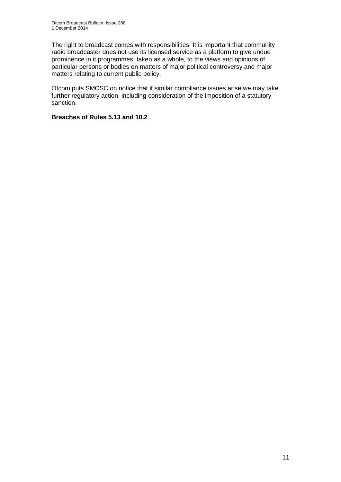The right to broadcast comes with responsibilities. It is important that community radio broadcaster does not use its licensed service as a platform to give undue prominence in it programmes, taken as a whole, to the views and opinions of particular persons or bodies on matters of major political controversy and major matters relating to current public policy.

Ofcom puts SMCSC on notice that if similar compliance issues arise we may take further regulatory action, including consideration of the imposition of a statutory sanction.

#### **Breaches of Rules 5.13 and 10.2**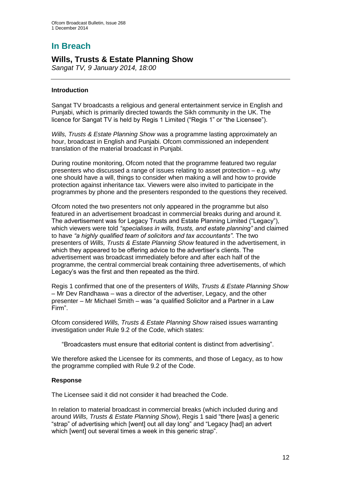# **In Breach**

## **Wills, Trusts & Estate Planning Show**

*Sangat TV, 9 January 2014, 18:00*

#### **Introduction**

Sangat TV broadcasts a religious and general entertainment service in English and Punjabi, which is primarily directed towards the Sikh community in the UK. The licence for Sangat TV is held by Regis 1 Limited ("Regis 1" or "the Licensee").

*Wills, Trusts & Estate Planning Show* was a programme lasting approximately an hour, broadcast in English and Punjabi. Ofcom commissioned an independent translation of the material broadcast in Punjabi.

During routine monitoring, Ofcom noted that the programme featured two regular presenters who discussed a range of issues relating to asset protection – e.g. why one should have a will, things to consider when making a will and how to provide protection against inheritance tax. Viewers were also invited to participate in the programmes by phone and the presenters responded to the questions they received.

Ofcom noted the two presenters not only appeared in the programme but also featured in an advertisement broadcast in commercial breaks during and around it. The advertisement was for Legacy Trusts and Estate Planning Limited ("Legacy"), which viewers were told *"specialises in wills, trusts, and estate planning"* and claimed to have *"a highly qualified team of solicitors and tax accountants"*. The two presenters of *Wills, Trusts & Estate Planning Show* featured in the advertisement, in which they appeared to be offering advice to the advertiser's clients. The advertisement was broadcast immediately before and after each half of the programme, the central commercial break containing three advertisements, of which Legacy's was the first and then repeated as the third.

Regis 1 confirmed that one of the presenters of *Wills, Trusts & Estate Planning Show* – Mr Dev Randhawa – was a director of the advertiser, Legacy, and the other presenter – Mr Michael Smith – was "a qualified Solicitor and a Partner in a Law Firm".

Ofcom considered *Wills, Trusts & Estate Planning Show* raised issues warranting investigation under Rule 9.2 of the Code, which states:

"Broadcasters must ensure that editorial content is distinct from advertising".

We therefore asked the Licensee for its comments, and those of Legacy, as to how the programme complied with Rule 9.2 of the Code.

#### **Response**

The Licensee said it did not consider it had breached the Code.

In relation to material broadcast in commercial breaks (which included during and around *Wills, Trusts & Estate Planning Show*), Regis 1 said "there [was] a generic "strap" of advertising which [went] out all day long" and "Legacy [had] an advert which [went] out several times a week in this generic strap".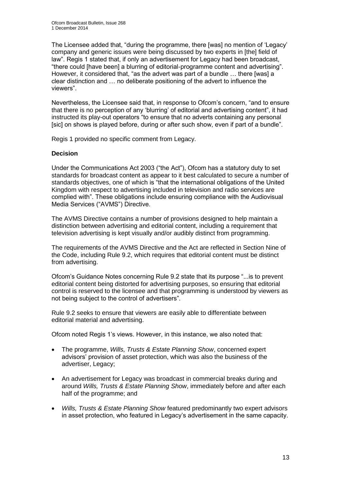The Licensee added that, "during the programme, there [was] no mention of 'Legacy' company and generic issues were being discussed by two experts in [the] field of law". Regis 1 stated that, if only an advertisement for Legacy had been broadcast, "there could [have been] a blurring of editorial-programme content and advertising". However, it considered that, "as the advert was part of a bundle … there [was] a clear distinction and … no deliberate positioning of the advert to influence the viewers".

Nevertheless, the Licensee said that, in response to Ofcom's concern, "and to ensure that there is no perception of any 'blurring' of editorial and advertising content", it had instructed its play-out operators "to ensure that no adverts containing any personal [sic] on shows is played before, during or after such show, even if part of a bundle".

Regis 1 provided no specific comment from Legacy.

#### **Decision**

Under the Communications Act 2003 ("the Act"), Ofcom has a statutory duty to set standards for broadcast content as appear to it best calculated to secure a number of standards objectives, one of which is "that the international obligations of the United Kingdom with respect to advertising included in television and radio services are complied with". These obligations include ensuring compliance with the Audiovisual Media Services ("AVMS") Directive.

The AVMS Directive contains a number of provisions designed to help maintain a distinction between advertising and editorial content, including a requirement that television advertising is kept visually and/or audibly distinct from programming.

The requirements of the AVMS Directive and the Act are reflected in Section Nine of the Code, including Rule 9.2, which requires that editorial content must be distinct from advertising.

Ofcom's Guidance Notes concerning Rule 9.2 state that its purpose "...is to prevent editorial content being distorted for advertising purposes, so ensuring that editorial control is reserved to the licensee and that programming is understood by viewers as not being subject to the control of advertisers".

Rule 9.2 seeks to ensure that viewers are easily able to differentiate between editorial material and advertising.

Ofcom noted Regis 1's views. However, in this instance, we also noted that:

- The programme, *Wills, Trusts & Estate Planning Show*, concerned expert advisors' provision of asset protection, which was also the business of the advertiser, Legacy;
- An advertisement for Legacy was broadcast in commercial breaks during and around *Wills, Trusts & Estate Planning Show*, immediately before and after each half of the programme; and
- *Wills, Trusts & Estate Planning Show* featured predominantly two expert advisors in asset protection, who featured in Legacy's advertisement in the same capacity.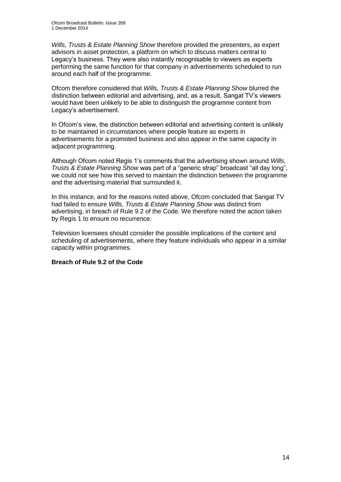*Wills, Trusts & Estate Planning Show* therefore provided the presenters, as expert advisors in asset protection, a platform on which to discuss matters central to Legacy's business. They were also instantly recognisable to viewers as experts performing the same function for that company in advertisements scheduled to run around each half of the programme.

Ofcom therefore considered that *Wills, Trusts & Estate Planning Show* blurred the distinction between editorial and advertising, and, as a result, Sangat TV's viewers would have been unlikely to be able to distinguish the programme content from Legacy's advertisement.

In Ofcom's view, the distinction between editorial and advertising content is unlikely to be maintained in circumstances where people feature as experts in advertisements for a promoted business and also appear in the same capacity in adjacent programming.

Although Ofcom noted Regis 1's comments that the advertising shown around *Wills, Trusts & Estate Planning Show* was part of a "generic strap" broadcast "all day long", we could not see how this served to maintain the distinction between the programme and the advertising material that surrounded it.

In this instance, and for the reasons noted above, Ofcom concluded that Sangat TV had failed to ensure *Wills, Trusts & Estate Planning Show* was distinct from advertising, in breach of Rule 9.2 of the Code. We therefore noted the action taken by Regis 1 to ensure no recurrence.

Television licensees should consider the possible implications of the content and scheduling of advertisements, where they feature individuals who appear in a similar capacity within programmes.

#### **Breach of Rule 9.2 of the Code**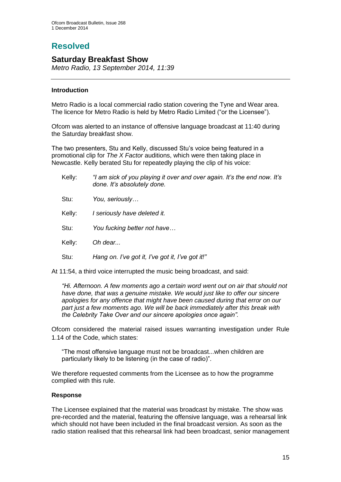# **Resolved**

### **Saturday Breakfast Show**

*Metro Radio, 13 September 2014, 11:39*

#### **Introduction**

Metro Radio is a local commercial radio station covering the Tyne and Wear area. The licence for Metro Radio is held by Metro Radio Limited ("or the Licensee").

Ofcom was alerted to an instance of offensive language broadcast at 11:40 during the Saturday breakfast show.

The two presenters, Stu and Kelly, discussed Stu's voice being featured in a promotional clip for *The X Factor* auditions, which were then taking place in Newcastle. Kelly berated Stu for repeatedly playing the clip of his voice:

| Kelly: | "I am sick of you playing it over and over again. It's the end now. It's<br>done. It's absolutely done. |
|--------|---------------------------------------------------------------------------------------------------------|
| Stu:   | You, seriously                                                                                          |
| Kelly: | I seriously have deleted it.                                                                            |
| Stu:   | You fucking better not have                                                                             |
| Kelly: | Oh dear                                                                                                 |
| Stu:   | Hang on. I've got it, I've got it, I've got it!"                                                        |
|        |                                                                                                         |

At 11:54, a third voice interrupted the music being broadcast, and said:

*"Hi. Afternoon. A few moments ago a certain word went out on air that should not have done, that was a genuine mistake. We would just like to offer our sincere apologies for any offence that might have been caused during that error on our part just a few moments ago. We will be back immediately after this break with the Celebrity Take Over and our sincere apologies once again".*

Ofcom considered the material raised issues warranting investigation under Rule 1.14 of the Code, which states:

"The most offensive language must not be broadcast...when children are particularly likely to be listening (in the case of radio)".

We therefore requested comments from the Licensee as to how the programme complied with this rule.

#### **Response**

The Licensee explained that the material was broadcast by mistake. The show was pre-recorded and the material, featuring the offensive language, was a rehearsal link which should not have been included in the final broadcast version. As soon as the radio station realised that this rehearsal link had been broadcast, senior management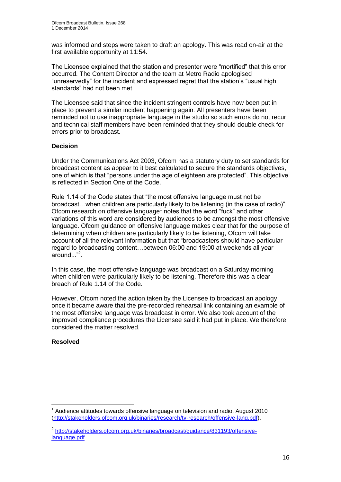was informed and steps were taken to draft an apology. This was read on-air at the first available opportunity at 11:54.

The Licensee explained that the station and presenter were "mortified" that this error occurred. The Content Director and the team at Metro Radio apologised "unreservedly" for the incident and expressed regret that the station's "usual high standards" had not been met.

The Licensee said that since the incident stringent controls have now been put in place to prevent a similar incident happening again. All presenters have been reminded not to use inappropriate language in the studio so such errors do not recur and technical staff members have been reminded that they should double check for errors prior to broadcast.

#### **Decision**

Under the Communications Act 2003, Ofcom has a statutory duty to set standards for broadcast content as appear to it best calculated to secure the standards objectives, one of which is that "persons under the age of eighteen are protected". This objective is reflected in Section One of the Code.

Rule 1.14 of the Code states that "the most offensive language must not be broadcast…when children are particularly likely to be listening (in the case of radio)". Ofcom research on offensive language<sup>1</sup> notes that the word "fuck" and other variations of this word are considered by audiences to be amongst the most offensive language. Ofcom guidance on offensive language makes clear that for the purpose of determining when children are particularly likely to be listening, Ofcom will take account of all the relevant information but that "broadcasters should have particular regard to broadcasting content…between 06:00 and 19:00 at weekends all year around..."<sup>2</sup> .

In this case, the most offensive language was broadcast on a Saturday morning when children were particularly likely to be listening. Therefore this was a clear breach of Rule 1.14 of the Code.

However, Ofcom noted the action taken by the Licensee to broadcast an apology once it became aware that the pre-recorded rehearsal link containing an example of the most offensive language was broadcast in error. We also took account of the improved compliance procedures the Licensee said it had put in place. We therefore considered the matter resolved.

#### **Resolved**

<sup>1</sup> 1 Audience attitudes towards offensive language on television and radio, August 2010 [\(http://stakeholders.ofcom.org.uk/binaries/research/tv-research/offensive-lang.pdf\)](http://stakeholders.ofcom.org.uk/binaries/research/tv-research/offensive-lang.pdf).

<sup>&</sup>lt;sup>2</sup> [http://stakeholders.ofcom.org.uk/binaries/broadcast/guidance/831193/offensive](http://stakeholders.ofcom.org.uk/binaries/broadcast/guidance/831193/offensive-language.pdf)[language.pdf](http://stakeholders.ofcom.org.uk/binaries/broadcast/guidance/831193/offensive-language.pdf)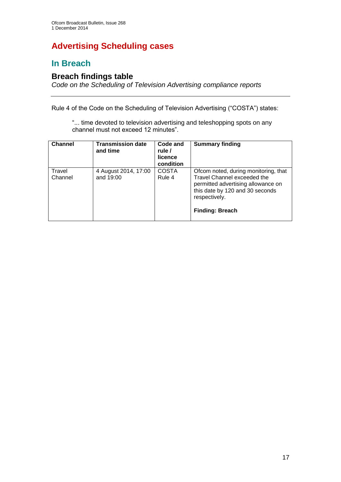# **Advertising Scheduling cases**

## **In Breach**

## **Breach findings table**

*Code on the Scheduling of Television Advertising compliance reports*

Rule 4 of the Code on the Scheduling of Television Advertising ("COSTA") states:

"... time devoted to television advertising and teleshopping spots on any channel must not exceed 12 minutes".

| <b>Channel</b>    | <b>Transmission date</b><br>and time | Code and<br>rule /<br>licence<br>condition | <b>Summary finding</b>                                                                                                                                                                  |
|-------------------|--------------------------------------|--------------------------------------------|-----------------------------------------------------------------------------------------------------------------------------------------------------------------------------------------|
| Travel<br>Channel | 4 August 2014, 17:00<br>and 19:00    | <b>COSTA</b><br>Rule 4                     | Ofcom noted, during monitoring, that<br>Travel Channel exceeded the<br>permitted advertising allowance on<br>this date by 120 and 30 seconds<br>respectively.<br><b>Finding: Breach</b> |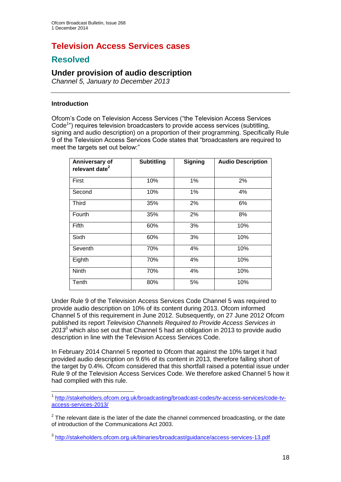# **Television Access Services cases**

## **Resolved**

## **Under provision of audio description**

*Channel 5, January to December 2013*

#### **Introduction**

Ofcom's Code on Television Access Services ("the Television Access Services Code<sup>1</sup>") requires television broadcasters to provide access services (subtitling, signing and audio description) on a proportion of their programming. Specifically Rule 9 of the Television Access Services Code states that "broadcasters are required to meet the targets set out below:"

| Anniversary of<br>relevant date <sup>2</sup> | <b>Subtitling</b> | <b>Signing</b> | <b>Audio Description</b> |
|----------------------------------------------|-------------------|----------------|--------------------------|
| First                                        | 10%               | 1%             | 2%                       |
| Second                                       | 10%               | 1%             | 4%                       |
| <b>Third</b>                                 | 35%               | 2%             | 6%                       |
| Fourth                                       | 35%               | 2%             | 8%                       |
| Fifth                                        | 60%               | 3%             | 10%                      |
| Sixth                                        | 60%               | 3%             | 10%                      |
| Seventh                                      | 70%               | 4%             | 10%                      |
| Eighth                                       | 70%               | 4%             | 10%                      |
| Ninth                                        | 70%               | 4%             | 10%                      |
| Tenth                                        | 80%               | 5%             | 10%                      |

Under Rule 9 of the Television Access Services Code Channel 5 was required to provide audio description on 10% of its content during 2013. Ofcom informed Channel 5 of this requirement in June 2012. Subsequently, on 27 June 2012 Ofcom published its report *Television Channels Required to Provide Access Services in 2013*<sup>3</sup> which also set out that Channel 5 had an obligation in 2013 to provide audio description in line with the Television Access Services Code.

In February 2014 Channel 5 reported to Ofcom that against the 10% target it had provided audio description on 9.6% of its content in 2013, therefore falling short of the target by 0.4%. Ofcom considered that this shortfall raised a potential issue under Rule 9 of the Television Access Services Code. We therefore asked Channel 5 how it had complied with this rule.

<sup>1</sup> 1 [http://stakeholders.ofcom.org.uk/broadcasting/broadcast-codes/tv-access-services/code-tv](http://stakeholders.ofcom.org.uk/broadcasting/broadcast-codes/tv-access-services/code-tv-access-services-2013/)[access-services-2013/](http://stakeholders.ofcom.org.uk/broadcasting/broadcast-codes/tv-access-services/code-tv-access-services-2013/)

 $2$  The relevant date is the later of the date the channel commenced broadcasting, or the date of introduction of the Communications Act 2003.

<sup>3</sup> <http://stakeholders.ofcom.org.uk/binaries/broadcast/guidance/access-services-13.pdf>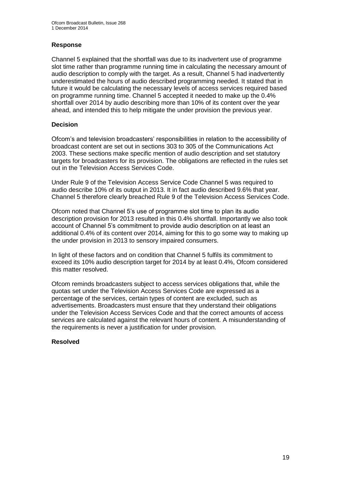#### **Response**

Channel 5 explained that the shortfall was due to its inadvertent use of programme slot time rather than programme running time in calculating the necessary amount of audio description to comply with the target. As a result, Channel 5 had inadvertently underestimated the hours of audio described programming needed. It stated that in future it would be calculating the necessary levels of access services required based on programme running time. Channel 5 accepted it needed to make up the 0.4% shortfall over 2014 by audio describing more than 10% of its content over the year ahead, and intended this to help mitigate the under provision the previous year.

#### **Decision**

Ofcom's and television broadcasters' responsibilities in relation to the accessibility of broadcast content are set out in sections 303 to 305 of the Communications Act 2003. These sections make specific mention of audio description and set statutory targets for broadcasters for its provision. The obligations are reflected in the rules set out in the Television Access Services Code.

Under Rule 9 of the Television Access Service Code Channel 5 was required to audio describe 10% of its output in 2013. It in fact audio described 9.6% that year. Channel 5 therefore clearly breached Rule 9 of the Television Access Services Code.

Ofcom noted that Channel 5's use of programme slot time to plan its audio description provision for 2013 resulted in this 0.4% shortfall. Importantly we also took account of Channel 5's commitment to provide audio description on at least an additional 0.4% of its content over 2014, aiming for this to go some way to making up the under provision in 2013 to sensory impaired consumers.

In light of these factors and on condition that Channel 5 fulfils its commitment to exceed its 10% audio description target for 2014 by at least 0.4%, Ofcom considered this matter resolved.

Ofcom reminds broadcasters subject to access services obligations that, while the quotas set under the Television Access Services Code are expressed as a percentage of the services, certain types of content are excluded, such as advertisements. Broadcasters must ensure that they understand their obligations under the Television Access Services Code and that the correct amounts of access services are calculated against the relevant hours of content. A misunderstanding of the requirements is never a justification for under provision.

#### **Resolved**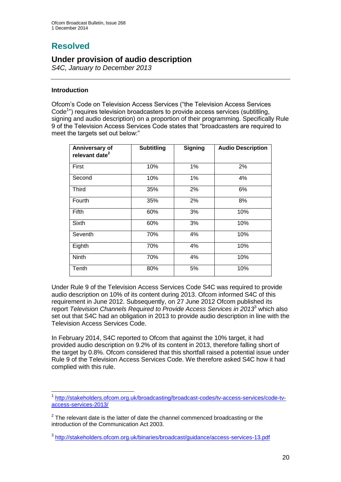# **Resolved**

## **Under provision of audio description**

*S4C, January to December 2013*

#### **Introduction**

Ofcom's Code on Television Access Services ("the Television Access Services Code<sup>1</sup>") requires television broadcasters to provide access services (subtitling, signing and audio description) on a proportion of their programming. Specifically Rule 9 of the Television Access Services Code states that "broadcasters are required to meet the targets set out below:"

| Anniversary of<br>relevant date <sup>2</sup> | <b>Subtitling</b> | <b>Signing</b> | <b>Audio Description</b> |
|----------------------------------------------|-------------------|----------------|--------------------------|
| First                                        | 10%               | 1%             | 2%                       |
| Second                                       | 10%               | 1%             | 4%                       |
| Third                                        | 35%               | 2%             | 6%                       |
| Fourth                                       | 35%               | 2%             | 8%                       |
| Fifth                                        | 60%               | 3%             | 10%                      |
| Sixth                                        | 60%               | 3%             | 10%                      |
| Seventh                                      | 70%               | 4%             | 10%                      |
| Eighth                                       | 70%               | 4%             | 10%                      |
| Ninth                                        | 70%               | 4%             | 10%                      |
| Tenth                                        | 80%               | 5%             | 10%                      |

Under Rule 9 of the Television Access Services Code S4C was required to provide audio description on 10% of its content during 2013. Ofcom informed S4C of this requirement in June 2012. Subsequently, on 27 June 2012 Ofcom published its report *Television Channels Required to Provide Access Services in 2013*<sup>3</sup> which also set out that S4C had an obligation in 2013 to provide audio description in line with the Television Access Services Code.

In February 2014, S4C reported to Ofcom that against the 10% target, it had provided audio description on 9.2% of its content in 2013, therefore falling short of the target by 0.8%. Ofcom considered that this shortfall raised a potential issue under Rule 9 of the Television Access Services Code. We therefore asked S4C how it had complied with this rule.

<sup>1</sup> 1 [http://stakeholders.ofcom.org.uk/broadcasting/broadcast-codes/tv-access-services/code-tv](http://stakeholders.ofcom.org.uk/broadcasting/broadcast-codes/tv-access-services/code-tv-access-services-2013/)[access-services-2013/](http://stakeholders.ofcom.org.uk/broadcasting/broadcast-codes/tv-access-services/code-tv-access-services-2013/)

 $2$  The relevant date is the latter of date the channel commenced broadcasting or the introduction of the Communication Act 2003.

<sup>3</sup> <http://stakeholders.ofcom.org.uk/binaries/broadcast/guidance/access-services-13.pdf>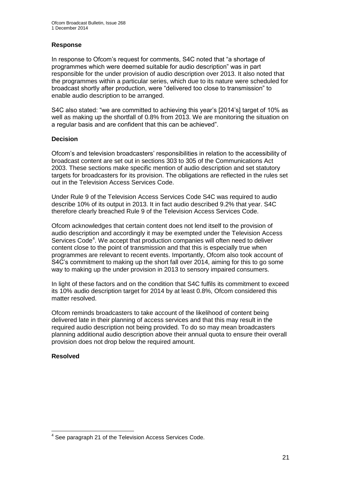#### **Response**

In response to Ofcom's request for comments, S4C noted that "a shortage of programmes which were deemed suitable for audio description" was in part responsible for the under provision of audio description over 2013. It also noted that the programmes within a particular series, which due to its nature were scheduled for broadcast shortly after production, were "delivered too close to transmission" to enable audio description to be arranged.

S4C also stated: "we are committed to achieving this year's [2014's] target of 10% as well as making up the shortfall of 0.8% from 2013. We are monitoring the situation on a regular basis and are confident that this can be achieved".

#### **Decision**

Ofcom's and television broadcasters' responsibilities in relation to the accessibility of broadcast content are set out in sections 303 to 305 of the Communications Act 2003. These sections make specific mention of audio description and set statutory targets for broadcasters for its provision. The obligations are reflected in the rules set out in the Television Access Services Code.

Under Rule 9 of the Television Access Services Code S4C was required to audio describe 10% of its output in 2013. It in fact audio described 9.2% that year. S4C therefore clearly breached Rule 9 of the Television Access Services Code.

Ofcom acknowledges that certain content does not lend itself to the provision of audio description and accordingly it may be exempted under the Television Access Services Code<sup>4</sup>. We accept that production companies will often need to deliver content close to the point of transmission and that this is especially true when programmes are relevant to recent events. Importantly, Ofcom also took account of S4C's commitment to making up the short fall over 2014, aiming for this to go some way to making up the under provision in 2013 to sensory impaired consumers.

In light of these factors and on the condition that S4C fulfils its commitment to exceed its 10% audio description target for 2014 by at least 0.8%, Ofcom considered this matter resolved.

Ofcom reminds broadcasters to take account of the likelihood of content being delivered late in their planning of access services and that this may result in the required audio description not being provided. To do so may mean broadcasters planning additional audio description above their annual quota to ensure their overall provision does not drop below the required amount.

#### **Resolved**

 4 See paragraph 21 of the Television Access Services Code.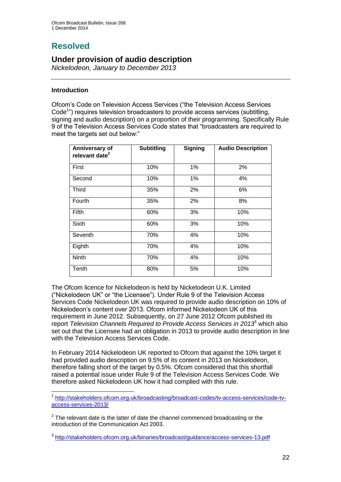# **Resolved**

## **Under provision of audio description**

*Nickelodeon, January to December 2013*

#### **Introduction**

Ofcom's Code on Television Access Services ("the Television Access Services Code<sup>1</sup>") requires television broadcasters to provide access services (subtitling, signing and audio description) on a proportion of their programming. Specifically Rule 9 of the Television Access Services Code states that "broadcasters are required to meet the targets set out below:"

| Anniversary of<br>relevant date <sup>2</sup> | <b>Subtitling</b> | <b>Signing</b> | <b>Audio Description</b> |
|----------------------------------------------|-------------------|----------------|--------------------------|
| First                                        | 10%               | 1%             | 2%                       |
| Second                                       | 10%               | 1%             | 4%                       |
| <b>Third</b>                                 | 35%               | 2%             | 6%                       |
| Fourth                                       | 35%               | 2%             | 8%                       |
| Fifth                                        | 60%               | 3%             | 10%                      |
| Sixth                                        | 60%               | 3%             | 10%                      |
| Seventh                                      | 70%               | 4%             | 10%                      |
| Eighth                                       | 70%               | 4%             | 10%                      |
| <b>Ninth</b>                                 | 70%               | 4%             | 10%                      |
| Tenth                                        | 80%               | 5%             | 10%                      |

The Ofcom licence for Nickelodeon is held by Nickelodeon U.K. Limited ("Nickelodeon UK" or "the Licensee"). Under Rule 9 of the Television Access Services Code Nickelodeon UK was required to provide audio description on 10% of Nickelodeon's content over 2013. Ofcom informed Nickelodeon UK of this requirement in June 2012. Subsequently, on 27 June 2012 Ofcom published its report *Television Channels Required to Provide Access Services in 2013*<sup>3</sup> which also set out that the Licensee had an obligation in 2013 to provide audio description in line with the Television Access Services Code.

In February 2014 Nickelodeon UK reported to Ofcom that against the 10% target it had provided audio description on 9.5% of its content in 2013 on Nickelodeon, therefore falling short of the target by 0.5%. Ofcom considered that this shortfall raised a potential issue under Rule 9 of the Television Access Services Code. We therefore asked Nickelodeon UK how it had complied with this rule.

1 1 [http://stakeholders.ofcom.org.uk/broadcasting/broadcast-codes/tv-access-services/code-tv](http://stakeholders.ofcom.org.uk/broadcasting/broadcast-codes/tv-access-services/code-tv-access-services-2013/)[access-services-2013/](http://stakeholders.ofcom.org.uk/broadcasting/broadcast-codes/tv-access-services/code-tv-access-services-2013/)

 $2$  The relevant date is the latter of date the channel commenced broadcasting or the introduction of the Communication Act 2003.

3 <http://stakeholders.ofcom.org.uk/binaries/broadcast/guidance/access-services-13.pdf>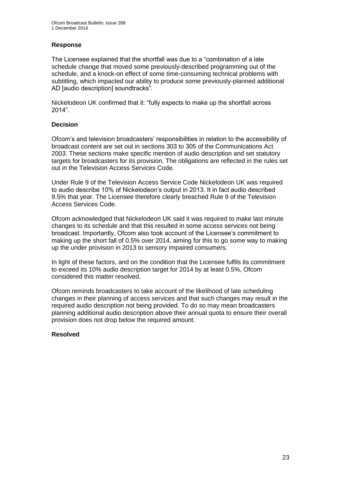#### **Response**

The Licensee explained that the shortfall was due to a "combination of a late schedule change that moved some previously-described programming out of the schedule, and a knock-on effect of some time-consuming technical problems with subtitling, which impacted our ability to produce some previously-planned additional AD [audio description] soundtracks".

Nickelodeon UK confirmed that it: "fully expects to make up the shortfall across 2014".

#### **Decision**

Ofcom's and television broadcasters' responsibilities in relation to the accessibility of broadcast content are set out in sections 303 to 305 of the Communications Act 2003. These sections make specific mention of audio description and set statutory targets for broadcasters for its provision. The obligations are reflected in the rules set out in the Television Access Services Code.

Under Rule 9 of the Television Access Service Code Nickelodeon UK was required to audio describe 10% of Nickelodeon's output in 2013. It in fact audio described 9.5% that year. The Licensee therefore clearly breached Rule 9 of the Television Access Services Code.

Ofcom acknowledged that Nickelodeon UK said it was required to make last minute changes to its schedule and that this resulted in some access services not being broadcast. Importantly, Ofcom also took account of the Licensee's commitment to making up the short fall of 0.5% over 2014, aiming for this to go some way to making up the under provision in 2013 to sensory impaired consumers.

In light of these factors, and on the condition that the Licensee fulfils its commitment to exceed its 10% audio description target for 2014 by at least 0.5%, Ofcom considered this matter resolved.

Ofcom reminds broadcasters to take account of the likelihood of late scheduling changes in their planning of access services and that such changes may result in the required audio description not being provided. To do so may mean broadcasters planning additional audio description above their annual quota to ensure their overall provision does not drop below the required amount.

#### **Resolved**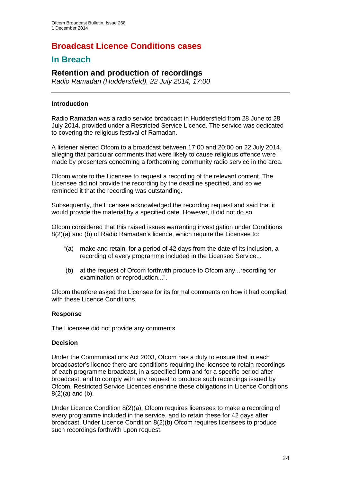# **Broadcast Licence Conditions cases**

## **In Breach**

## **Retention and production of recordings**

*Radio Ramadan (Huddersfield), 22 July 2014, 17:00*

#### **Introduction**

Radio Ramadan was a radio service broadcast in Huddersfield from 28 June to 28 July 2014, provided under a Restricted Service Licence. The service was dedicated to covering the religious festival of Ramadan.

A listener alerted Ofcom to a broadcast between 17:00 and 20:00 on 22 July 2014, alleging that particular comments that were likely to cause religious offence were made by presenters concerning a forthcoming community radio service in the area.

Ofcom wrote to the Licensee to request a recording of the relevant content. The Licensee did not provide the recording by the deadline specified, and so we reminded it that the recording was outstanding.

Subsequently, the Licensee acknowledged the recording request and said that it would provide the material by a specified date. However, it did not do so.

Ofcom considered that this raised issues warranting investigation under Conditions 8(2)(a) and (b) of Radio Ramadan's licence, which require the Licensee to:

- "(a) make and retain, for a period of 42 days from the date of its inclusion, a recording of every programme included in the Licensed Service...
- (b) at the request of Ofcom forthwith produce to Ofcom any...recording for examination or reproduction...".

Ofcom therefore asked the Licensee for its formal comments on how it had complied with these Licence Conditions.

#### **Response**

The Licensee did not provide any comments.

#### **Decision**

Under the Communications Act 2003, Ofcom has a duty to ensure that in each broadcaster's licence there are conditions requiring the licensee to retain recordings of each programme broadcast, in a specified form and for a specific period after broadcast, and to comply with any request to produce such recordings issued by Ofcom. Restricted Service Licences enshrine these obligations in Licence Conditions 8(2)(a) and (b).

Under Licence Condition 8(2)(a), Ofcom requires licensees to make a recording of every programme included in the service, and to retain these for 42 days after broadcast. Under Licence Condition 8(2)(b) Ofcom requires licensees to produce such recordings forthwith upon request.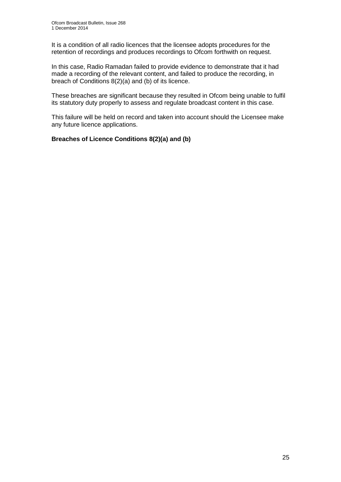It is a condition of all radio licences that the licensee adopts procedures for the retention of recordings and produces recordings to Ofcom forthwith on request.

In this case, Radio Ramadan failed to provide evidence to demonstrate that it had made a recording of the relevant content, and failed to produce the recording, in breach of Conditions 8(2)(a) and (b) of its licence.

These breaches are significant because they resulted in Ofcom being unable to fulfil its statutory duty properly to assess and regulate broadcast content in this case.

This failure will be held on record and taken into account should the Licensee make any future licence applications.

#### **Breaches of Licence Conditions 8(2)(a) and (b)**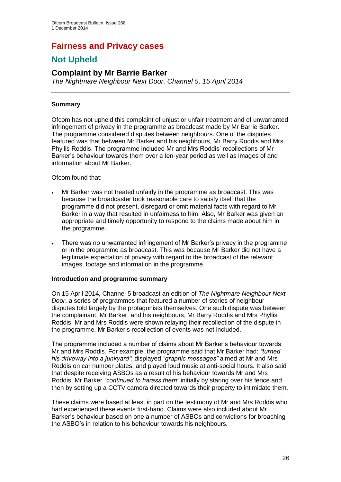# **Fairness and Privacy cases**

## **Not Upheld**

## **Complaint by Mr Barrie Barker**

*The Nightmare Neighbour Next Door, Channel 5, 15 April 2014*

#### **Summary**

Ofcom has not upheld this complaint of unjust or unfair treatment and of unwarranted infringement of privacy in the programme as broadcast made by Mr Barrie Barker. The programme considered disputes between neighbours. One of the disputes featured was that between Mr Barker and his neighbours, Mr Barry Roddis and Mrs Phyllis Roddis. The programme included Mr and Mrs Roddis' recollections of Mr Barker's behaviour towards them over a ten-year period as well as images of and information about Mr Barker.

Ofcom found that:

- Mr Barker was not treated unfairly in the programme as broadcast. This was because the broadcaster took reasonable care to satisfy itself that the programme did not present, disregard or omit material facts with regard to Mr Barker in a way that resulted in unfairness to him. Also, Mr Barker was given an appropriate and timely opportunity to respond to the claims made about him in the programme.
- There was no unwarranted infringement of Mr Barker's privacy in the programme or in the programme as broadcast. This was because Mr Barker did not have a legitimate expectation of privacy with regard to the broadcast of the relevant images, footage and information in the programme.

#### **Introduction and programme summary**

On 15 April 2014, Channel 5 broadcast an edition of *The Nightmare Neighbour Next Door*, a series of programmes that featured a number of stories of neighbour disputes told largely by the protagonists themselves. One such dispute was between the complainant, Mr Barker, and his neighbours, Mr Barry Roddis and Mrs Phyllis Roddis. Mr and Mrs Roddis were shown relaying their recollection of the dispute in the programme. Mr Barker's recollection of events was not included.

The programme included a number of claims about Mr Barker's behaviour towards Mr and Mrs Roddis. For example, the programme said that Mr Barker had: *"turned his driveway into a junkyard"*; displayed *"graphic messages"* aimed at Mr and Mrs Roddis on car number plates; and played loud music at anti-social hours. It also said that despite receiving ASBOs as a result of his behaviour towards Mr and Mrs Roddis, Mr Barker *"continued to harass them"* initially by staring over his fence and then by setting up a CCTV camera directed towards their property to intimidate them.

These claims were based at least in part on the testimony of Mr and Mrs Roddis who had experienced these events first-hand. Claims were also included about Mr Barker's behaviour based on one a number of ASBOs and convictions for breaching the ASBO's in relation to his behaviour towards his neighbours.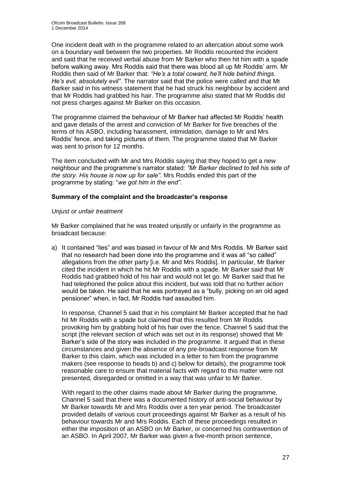One incident dealt with in the programme related to an altercation about some work on a boundary wall between the two properties. Mr Roddis recounted the incident and said that he received verbal abuse from Mr Barker who then hit him with a spade before walking away. Mrs Roddis said that there was blood all up Mr Roddis' arm. Mr Roddis then said of Mr Barker that: *"He's a total coward, he'll hide behind things. He's evil, absolutely evil"*. The narrator said that the police were called and that Mr Barker said in his witness statement that he had struck his neighbour by accident and that Mr Roddis had grabbed his hair. The programme also stated that Mr Roddis did not press charges against Mr Barker on this occasion.

The programme claimed the behaviour of Mr Barker had affected Mr Roddis' health and gave details of the arrest and conviction of Mr Barker for five breaches of the terms of his ASBO, including harassment, intimidation, damage to Mr and Mrs Roddis' fence, and taking pictures of them. The programme stated that Mr Barker was sent to prison for 12 months.

The item concluded with Mr and Mrs Roddis saying that they hoped to get a new neighbour and the programme's narrator stated: *"Mr Barker declined to tell his side of the story. His house is now up for sale"*. Mrs Roddis ended this part of the programme by stating: "*we got him in the end"*.

#### **Summary of the complaint and the broadcaster's response**

#### *Unjust or unfair treatment*

Mr Barker complained that he was treated unjustly or unfairly in the programme as broadcast because:

a) It contained "lies" and was biased in favour of Mr and Mrs Roddis. Mr Barker said that no research had been done into the programme and it was all "so called" allegations from the other party [i.e. Mr and Mrs Roddis]. In particular, Mr Barker cited the incident in which he hit Mr Roddis with a spade. Mr Barker said that Mr Roddis had grabbed hold of his hair and would not let go. Mr Barker said that he had telephoned the police about this incident, but was told that no further action would be taken. He said that he was portrayed as a "bully, picking on an old aged pensioner" when, in fact, Mr Roddis had assaulted him.

In response, Channel 5 said that in his complaint Mr Barker accepted that he had hit Mr Roddis with a spade but claimed that this resulted from Mr Roddis provoking him by grabbing hold of his hair over the fence. Channel 5 said that the script (the relevant section of which was set out in its response) showed that Mr Barker's side of the story was included in the programme. It argued that in these circumstances and given the absence of any pre-broadcast response from Mr Barker to this claim, which was included in a letter to him from the programme makers (see response to heads b) and c) below for details), the programme took reasonable care to ensure that material facts with regard to this matter were not presented, disregarded or omitted in a way that was unfair to Mr Barker.

With regard to the other claims made about Mr Barker during the programme, Channel 5 said that there was a documented history of anti-social behaviour by Mr Barker towards Mr and Mrs Roddis over a ten year period. The broadcaster provided details of various court proceedings against Mr Barker as a result of his behaviour towards Mr and Mrs Roddis. Each of these proceedings resulted in either the imposition of an ASBO on Mr Barker, or concerned his contravention of an ASBO. In April 2007, Mr Barker was given a five-month prison sentence,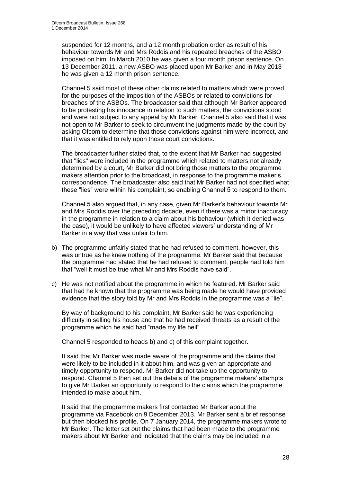suspended for 12 months, and a 12 month probation order as result of his behaviour towards Mr and Mrs Roddis and his repeated breaches of the ASBO imposed on him. In March 2010 he was given a four month prison sentence. On 13 December 2011, a new ASBO was placed upon Mr Barker and in May 2013 he was given a 12 month prison sentence.

Channel 5 said most of these other claims related to matters which were proved for the purposes of the imposition of the ASBOs or related to convictions for breaches of the ASBOs. The broadcaster said that although Mr Barker appeared to be protesting his innocence in relation to such matters, the convictions stood and were not subject to any appeal by Mr Barker. Channel 5 also said that it was not open to Mr Barker to seek to circumvent the judgments made by the court by asking Ofcom to determine that those convictions against him were incorrect, and that it was entitled to rely upon those court convictions.

The broadcaster further stated that, to the extent that Mr Barker had suggested that "lies" were included in the programme which related to matters not already determined by a court, Mr Barker did not bring those matters to the programme makers attention prior to the broadcast, in response to the programme maker's correspondence. The broadcaster also said that Mr Barker had not specified what these "lies" were within his complaint, so enabling Channel 5 to respond to them.

Channel 5 also argued that, in any case, given Mr Barker's behaviour towards Mr and Mrs Roddis over the preceding decade, even if there was a minor inaccuracy in the programme in relation to a claim about his behaviour (which it denied was the case), it would be unlikely to have affected viewers' understanding of Mr Barker in a way that was unfair to him.

- b) The programme unfairly stated that he had refused to comment, however, this was untrue as he knew nothing of the programme. Mr Barker said that because the programme had stated that he had refused to comment, people had told him that "well it must be true what Mr and Mrs Roddis have said".
- c) He was not notified about the programme in which he featured. Mr Barker said that had he known that the programme was being made he would have provided evidence that the story told by Mr and Mrs Roddis in the programme was a "lie".

By way of background to his complaint, Mr Barker said he was experiencing difficulty in selling his house and that he had received threats as a result of the programme which he said had "made my life hell".

Channel 5 responded to heads b) and c) of this complaint together.

It said that Mr Barker was made aware of the programme and the claims that were likely to be included in it about him, and was given an appropriate and timely opportunity to respond. Mr Barker did not take up the opportunity to respond. Channel 5 then set out the details of the programme makers' attempts to give Mr Barker an opportunity to respond to the claims which the programme intended to make about him.

It said that the programme makers first contacted Mr Barker about the programme via Facebook on 9 December 2013. Mr Barker sent a brief response but then blocked his profile. On 7 January 2014, the programme makers wrote to Mr Barker. The letter set out the claims that had been made to the programme makers about Mr Barker and indicated that the claims may be included in a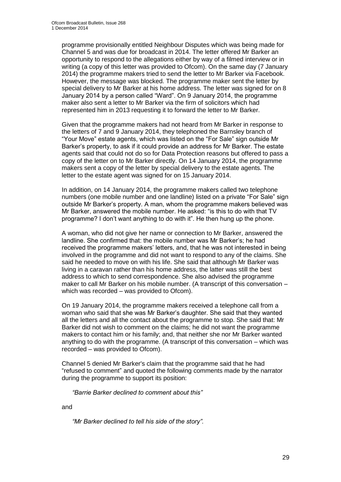programme provisionally entitled Neighbour Disputes which was being made for Channel 5 and was due for broadcast in 2014. The letter offered Mr Barker an opportunity to respond to the allegations either by way of a filmed interview or in writing (a copy of this letter was provided to Ofcom). On the same day (7 January 2014) the programme makers tried to send the letter to Mr Barker via Facebook. However, the message was blocked. The programme maker sent the letter by special delivery to Mr Barker at his home address. The letter was signed for on 8 January 2014 by a person called "Ward". On 9 January 2014, the programme maker also sent a letter to Mr Barker via the firm of solicitors which had represented him in 2013 requesting it to forward the letter to Mr Barker.

Given that the programme makers had not heard from Mr Barker in response to the letters of 7 and 9 January 2014, they telephoned the Barnsley branch of "Your Move" estate agents, which was listed on the "For Sale" sign outside Mr Barker's property, to ask if it could provide an address for Mr Barker. The estate agents said that could not do so for Data Protection reasons but offered to pass a copy of the letter on to Mr Barker directly. On 14 January 2014, the programme makers sent a copy of the letter by special delivery to the estate agents. The letter to the estate agent was signed for on 15 January 2014.

In addition, on 14 January 2014, the programme makers called two telephone numbers (one mobile number and one landline) listed on a private "For Sale" sign outside Mr Barker's property. A man, whom the programme makers believed was Mr Barker, answered the mobile number. He asked: "is this to do with that TV programme? I don't want anything to do with it". He then hung up the phone.

A woman, who did not give her name or connection to Mr Barker, answered the landline. She confirmed that: the mobile number was Mr Barker's; he had received the programme makers' letters, and, that he was not interested in being involved in the programme and did not want to respond to any of the claims. She said he needed to move on with his life. She said that although Mr Barker was living in a caravan rather than his home address, the latter was still the best address to which to send correspondence. She also advised the programme maker to call Mr Barker on his mobile number. (A transcript of this conversation – which was recorded – was provided to Ofcom).

On 19 January 2014, the programme makers received a telephone call from a woman who said that she was Mr Barker's daughter. She said that they wanted all the letters and all the contact about the programme to stop. She said that: Mr Barker did not wish to comment on the claims; he did not want the programme makers to contact him or his family; and, that neither she nor Mr Barker wanted anything to do with the programme. (A transcript of this conversation – which was recorded – was provided to Ofcom).

Channel 5 denied Mr Barker's claim that the programme said that he had "refused to comment" and quoted the following comments made by the narrator during the programme to support its position:

*"Barrie Barker declined to comment about this"*

and

*"Mr Barker declined to tell his side of the story".*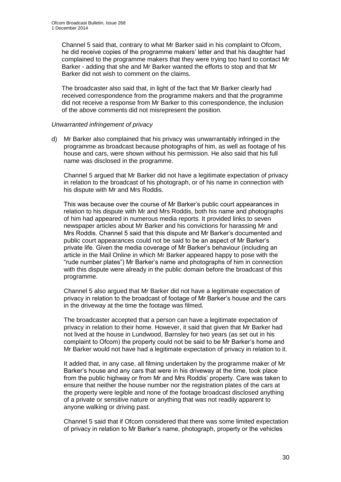Channel 5 said that, contrary to what Mr Barker said in his complaint to Ofcom, he did receive copies of the programme makers' letter and that his daughter had complained to the programme makers that they were trying too hard to contact Mr Barker - adding that she and Mr Barker wanted the efforts to stop and that Mr Barker did not wish to comment on the claims.

The broadcaster also said that, in light of the fact that Mr Barker clearly had received correspondence from the programme makers and that the programme did not receive a response from Mr Barker to this correspondence, the inclusion of the above comments did not misrepresent the position.

#### *Unwarranted infringement of privacy*

d) Mr Barker also complained that his privacy was unwarrantably infringed in the programme as broadcast because photographs of him, as well as footage of his house and cars, were shown without his permission. He also said that his full name was disclosed in the programme.

Channel 5 argued that Mr Barker did not have a legitimate expectation of privacy in relation to the broadcast of his photograph, or of his name in connection with his dispute with Mr and Mrs Roddis.

This was because over the course of Mr Barker's public court appearances in relation to his dispute with Mr and Mrs Roddis, both his name and photographs of him had appeared in numerous media reports. It provided links to seven newspaper articles about Mr Barker and his convictions for harassing Mr and Mrs Roddis. Channel 5 said that this dispute and Mr Barker's documented and public court appearances could not be said to be an aspect of Mr Barker's private life. Given the media coverage of Mr Barker's behaviour (including an article in the Mail Online in which Mr Barker appeared happy to pose with the "rude number plates") Mr Barker's name and photographs of him in connection with this dispute were already in the public domain before the broadcast of this programme.

Channel 5 also argued that Mr Barker did not have a legitimate expectation of privacy in relation to the broadcast of footage of Mr Barker's house and the cars in the driveway at the time the footage was filmed.

The broadcaster accepted that a person can have a legitimate expectation of privacy in relation to their home. However, it said that given that Mr Barker had not lived at the house in Lundwood, Barnsley for two years (as set out in his complaint to Ofcom) the property could not be said to be Mr Barker's home and Mr Barker would not have had a legitimate expectation of privacy in relation to it.

It added that, in any case, all filming undertaken by the programme maker of Mr Barker's house and any cars that were in his driveway at the time, took place from the public highway or from Mr and Mrs Roddis' property. Care was taken to ensure that neither the house number nor the registration plates of the cars at the property were legible and none of the footage broadcast disclosed anything of a private or sensitive nature or anything that was not readily apparent to anyone walking or driving past.

Channel 5 said that if Ofcom considered that there was some limited expectation of privacy in relation to Mr Barker's name, photograph, property or the vehicles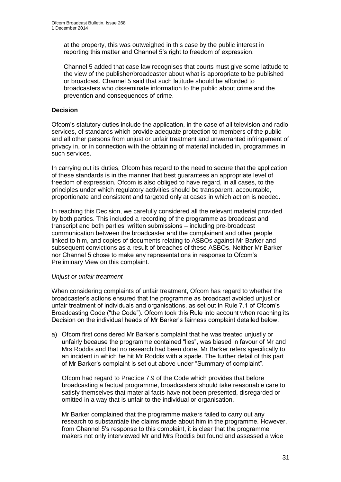at the property, this was outweighed in this case by the public interest in reporting this matter and Channel 5's right to freedom of expression.

Channel 5 added that case law recognises that courts must give some latitude to the view of the publisher/broadcaster about what is appropriate to be published or broadcast. Channel 5 said that such latitude should be afforded to broadcasters who disseminate information to the public about crime and the prevention and consequences of crime.

#### **Decision**

Ofcom's statutory duties include the application, in the case of all television and radio services, of standards which provide adequate protection to members of the public and all other persons from unjust or unfair treatment and unwarranted infringement of privacy in, or in connection with the obtaining of material included in, programmes in such services.

In carrying out its duties, Ofcom has regard to the need to secure that the application of these standards is in the manner that best guarantees an appropriate level of freedom of expression. Ofcom is also obliged to have regard, in all cases, to the principles under which regulatory activities should be transparent, accountable, proportionate and consistent and targeted only at cases in which action is needed.

In reaching this Decision, we carefully considered all the relevant material provided by both parties. This included a recording of the programme as broadcast and transcript and both parties' written submissions – including pre-broadcast communication between the broadcaster and the complainant and other people linked to him, and copies of documents relating to ASBOs against Mr Barker and subsequent convictions as a result of breaches of these ASBOs. Neither Mr Barker nor Channel 5 chose to make any representations in response to Ofcom's Preliminary View on this complaint.

#### *Unjust or unfair treatment*

When considering complaints of unfair treatment, Ofcom has regard to whether the broadcaster's actions ensured that the programme as broadcast avoided unjust or unfair treatment of individuals and organisations, as set out in Rule 7.1 of Ofcom's Broadcasting Code ("the Code"). Ofcom took this Rule into account when reaching its Decision on the individual heads of Mr Barker's fairness complaint detailed below.

a) Ofcom first considered Mr Barker's complaint that he was treated unjustly or unfairly because the programme contained "lies", was biased in favour of Mr and Mrs Roddis and that no research had been done. Mr Barker refers specifically to an incident in which he hit Mr Roddis with a spade. The further detail of this part of Mr Barker's complaint is set out above under "Summary of complaint".

Ofcom had regard to Practice 7.9 of the Code which provides that before broadcasting a factual programme, broadcasters should take reasonable care to satisfy themselves that material facts have not been presented, disregarded or omitted in a way that is unfair to the individual or organisation.

Mr Barker complained that the programme makers failed to carry out any research to substantiate the claims made about him in the programme. However, from Channel 5's response to this complaint, it is clear that the programme makers not only interviewed Mr and Mrs Roddis but found and assessed a wide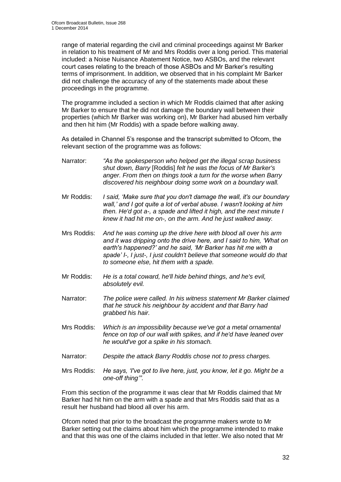range of material regarding the civil and criminal proceedings against Mr Barker in relation to his treatment of Mr and Mrs Roddis over a long period. This material included: a Noise Nuisance Abatement Notice, two ASBOs, and the relevant court cases relating to the breach of those ASBOs and Mr Barker's resulting terms of imprisonment. In addition, we observed that in his complaint Mr Barker did not challenge the accuracy of any of the statements made about these proceedings in the programme.

The programme included a section in which Mr Roddis claimed that after asking Mr Barker to ensure that he did not damage the boundary wall between their properties (which Mr Barker was working on), Mr Barker had abused him verbally and then hit him (Mr Roddis) with a spade before walking away.

As detailed in Channel 5's response and the transcript submitted to Ofcom, the relevant section of the programme was as follows:

- Narrator: *"As the spokesperson who helped get the illegal scrap business shut down, Barry* [Roddis] *felt he was the focus of Mr Barker's anger. From then on things took a turn for the worse when Barry discovered his neighbour doing some work on a boundary wall.*
- Mr Roddis: *I said, 'Make sure that you don't damage the wall, it's our boundary wall,' and I got quite a lot of verbal abuse. I wasn't looking at him then. He'd got a-, a spade and lifted it high, and the next minute I knew it had hit me on-, on the arm. And he just walked away.*
- Mrs Roddis: *And he was coming up the drive here with blood all over his arm and it was dripping onto the drive here, and I said to him, 'What on earth's happened?' and he said, 'Mr Barker has hit me with a spade' I-, I just-, I just couldn't believe that someone would do that to someone else, hit them with a spade.*
- Mr Roddis: *He is a total coward, he'll hide behind things, and he's evil, absolutely evil.*
- Narrator: *The police were called. In his witness statement Mr Barker claimed that he struck his neighbour by accident and that Barry had grabbed his hair.*
- Mrs Roddis: *Which is an impossibility because we've got a metal ornamental fence on top of our wall with spikes, and if he'd have leaned over he would've got a spike in his stomach.*
- Narrator: *Despite the attack Barry Roddis chose not to press charges.*
- Mrs Roddis: *He says, 'I've got to live here, just, you know, let it go. Might be a one-off thing'"*.

From this section of the programme it was clear that Mr Roddis claimed that Mr Barker had hit him on the arm with a spade and that Mrs Roddis said that as a result her husband had blood all over his arm.

Ofcom noted that prior to the broadcast the programme makers wrote to Mr Barker setting out the claims about him which the programme intended to make and that this was one of the claims included in that letter. We also noted that Mr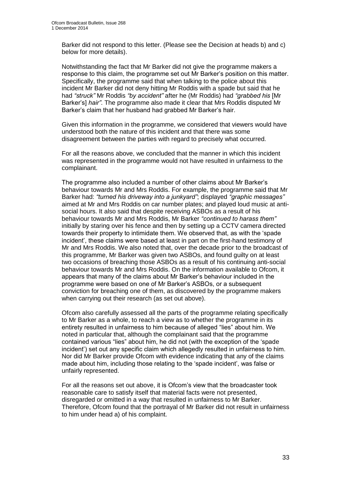Barker did not respond to this letter. (Please see the Decision at heads b) and c) below for more details).

Notwithstanding the fact that Mr Barker did not give the programme makers a response to this claim, the programme set out Mr Barker's position on this matter. Specifically, the programme said that when talking to the police about this incident Mr Barker did not deny hitting Mr Roddis with a spade but said that he had *"struck"* Mr Roddis *"by accident"* after he (Mr Roddis) had *"grabbed his* [Mr Barker's] *hair"*. The programme also made it clear that Mrs Roddis disputed Mr Barker's claim that her husband had grabbed Mr Barker's hair.

Given this information in the programme, we considered that viewers would have understood both the nature of this incident and that there was some disagreement between the parties with regard to precisely what occurred.

For all the reasons above, we concluded that the manner in which this incident was represented in the programme would not have resulted in unfairness to the complainant.

The programme also included a number of other claims about Mr Barker's behaviour towards Mr and Mrs Roddis. For example, the programme said that Mr Barker had: *"turned his driveway into a junkyard"*; displayed *"graphic messages"* aimed at Mr and Mrs Roddis on car number plates; and played loud music at antisocial hours. It also said that despite receiving ASBOs as a result of his behaviour towards Mr and Mrs Roddis, Mr Barker *"continued to harass them"* initially by staring over his fence and then by setting up a CCTV camera directed towards their property to intimidate them. We observed that, as with the 'spade incident', these claims were based at least in part on the first-hand testimony of Mr and Mrs Roddis. We also noted that, over the decade prior to the broadcast of this programme, Mr Barker was given two ASBOs, and found guilty on at least two occasions of breaching those ASBOs as a result of his continuing anti-social behaviour towards Mr and Mrs Roddis. On the information available to Ofcom, it appears that many of the claims about Mr Barker's behaviour included in the programme were based on one of Mr Barker's ASBOs, or a subsequent conviction for breaching one of them, as discovered by the programme makers when carrying out their research (as set out above).

Ofcom also carefully assessed all the parts of the programme relating specifically to Mr Barker as a whole, to reach a view as to whether the programme in its entirety resulted in unfairness to him because of alleged "lies" about him. We noted in particular that, although the complainant said that the programme contained various "lies" about him, he did not (with the exception of the 'spade incident') set out any specific claim which allegedly resulted in unfairness to him. Nor did Mr Barker provide Ofcom with evidence indicating that any of the claims made about him, including those relating to the 'spade incident', was false or unfairly represented.

For all the reasons set out above, it is Ofcom's view that the broadcaster took reasonable care to satisfy itself that material facts were not presented, disregarded or omitted in a way that resulted in unfairness to Mr Barker. Therefore, Ofcom found that the portrayal of Mr Barker did not result in unfairness to him under head a) of his complaint.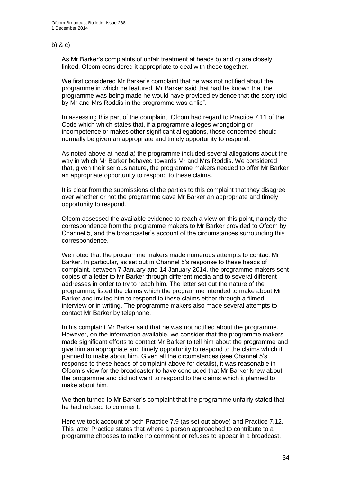#### b) & c)

As Mr Barker's complaints of unfair treatment at heads b) and c) are closely linked, Ofcom considered it appropriate to deal with these together.

We first considered Mr Barker's complaint that he was not notified about the programme in which he featured. Mr Barker said that had he known that the programme was being made he would have provided evidence that the story told by Mr and Mrs Roddis in the programme was a "lie".

In assessing this part of the complaint, Ofcom had regard to Practice 7.11 of the Code which which states that, if a programme alleges wrongdoing or incompetence or makes other significant allegations, those concerned should normally be given an appropriate and timely opportunity to respond.

As noted above at head a) the programme included several allegations about the way in which Mr Barker behaved towards Mr and Mrs Roddis. We considered that, given their serious nature, the programme makers needed to offer Mr Barker an appropriate opportunity to respond to these claims.

It is clear from the submissions of the parties to this complaint that they disagree over whether or not the programme gave Mr Barker an appropriate and timely opportunity to respond.

Ofcom assessed the available evidence to reach a view on this point, namely the correspondence from the programme makers to Mr Barker provided to Ofcom by Channel 5, and the broadcaster's account of the circumstances surrounding this correspondence.

We noted that the programme makers made numerous attempts to contact Mr Barker. In particular, as set out in Channel 5's response to these heads of complaint, between 7 January and 14 January 2014, the programme makers sent copies of a letter to Mr Barker through different media and to several different addresses in order to try to reach him. The letter set out the nature of the programme, listed the claims which the programme intended to make about Mr Barker and invited him to respond to these claims either through a filmed interview or in writing. The programme makers also made several attempts to contact Mr Barker by telephone.

In his complaint Mr Barker said that he was not notified about the programme. However, on the information available, we consider that the programme makers made significant efforts to contact Mr Barker to tell him about the programme and give him an appropriate and timely opportunity to respond to the claims which it planned to make about him. Given all the circumstances (see Channel 5's response to these heads of complaint above for details), it was reasonable in Ofcom's view for the broadcaster to have concluded that Mr Barker knew about the programme and did not want to respond to the claims which it planned to make about him.

We then turned to Mr Barker's complaint that the programme unfairly stated that he had refused to comment.

Here we took account of both Practice 7.9 (as set out above) and Practice 7.12. This latter Practice states that where a person approached to contribute to a programme chooses to make no comment or refuses to appear in a broadcast,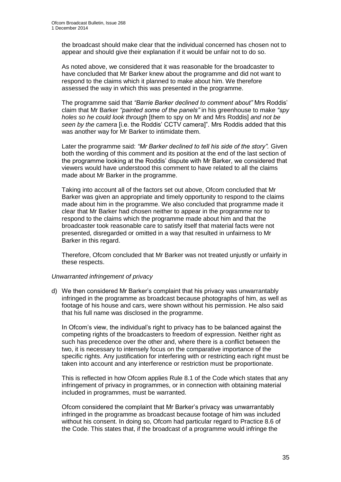the broadcast should make clear that the individual concerned has chosen not to appear and should give their explanation if it would be unfair not to do so.

As noted above, we considered that it was reasonable for the broadcaster to have concluded that Mr Barker knew about the programme and did not want to respond to the claims which it planned to make about him. We therefore assessed the way in which this was presented in the programme.

The programme said that *"Barrie Barker declined to comment about"* Mrs Roddis' claim that Mr Barker *"painted some of the panels"* in his greenhouse to make *"spy holes so he could look through* [them to spy on Mr and Mrs Roddis] *and not be seen by the camera* [i.e. the Roddis' CCTV camera]". Mrs Roddis added that this was another way for Mr Barker to intimidate them.

Later the programme said: *"Mr Barker declined to tell his side of the story".* Given both the wording of this comment and its position at the end of the last section of the programme looking at the Roddis' dispute with Mr Barker, we considered that viewers would have understood this comment to have related to all the claims made about Mr Barker in the programme.

Taking into account all of the factors set out above, Ofcom concluded that Mr Barker was given an appropriate and timely opportunity to respond to the claims made about him in the programme. We also concluded that programme made it clear that Mr Barker had chosen neither to appear in the programme nor to respond to the claims which the programme made about him and that the broadcaster took reasonable care to satisfy itself that material facts were not presented, disregarded or omitted in a way that resulted in unfairness to Mr Barker in this regard.

Therefore, Ofcom concluded that Mr Barker was not treated unjustly or unfairly in these respects.

#### *Unwarranted infringement of privacy*

d) We then considered Mr Barker's complaint that his privacy was unwarrantably infringed in the programme as broadcast because photographs of him, as well as footage of his house and cars, were shown without his permission. He also said that his full name was disclosed in the programme.

In Ofcom's view, the individual's right to privacy has to be balanced against the competing rights of the broadcasters to freedom of expression. Neither right as such has precedence over the other and, where there is a conflict between the two, it is necessary to intensely focus on the comparative importance of the specific rights. Any justification for interfering with or restricting each right must be taken into account and any interference or restriction must be proportionate.

This is reflected in how Ofcom applies Rule 8.1 of the Code which states that any infringement of privacy in programmes, or in connection with obtaining material included in programmes, must be warranted.

Ofcom considered the complaint that Mr Barker's privacy was unwarrantably infringed in the programme as broadcast because footage of him was included without his consent. In doing so, Ofcom had particular regard to Practice 8.6 of the Code. This states that, if the broadcast of a programme would infringe the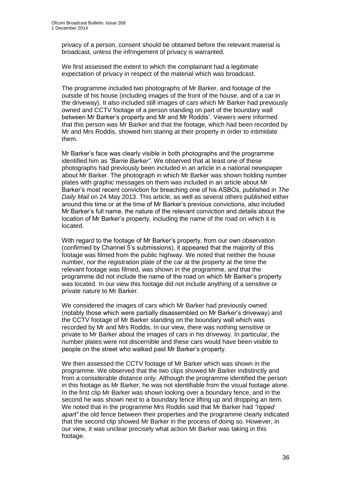privacy of a person, consent should be obtained before the relevant material is broadcast, unless the infringement of privacy is warranted.

We first assessed the extent to which the complainant had a legitimate expectation of privacy in respect of the material which was broadcast.

The programme included two photographs of Mr Barker, and footage of the outside of his house (including images of the front of the house, and of a car in the driveway). It also included still images of cars which Mr Barker had previously owned and CCTV footage of a person standing on part of the boundary wall between Mr Barker's property and Mr and Mr Roddis'. Viewers were informed that this person was Mr Barker and that the footage, which had been recorded by Mr and Mrs Roddis, showed him staring at their property in order to intimidate them.

Mr Barker's face was clearly visible in both photographs and the programme identified him as *"Barrie Barker"*. We observed that at least one of these photographs had previously been included in an article in a national newspaper about Mr Barker. The photograph in which Mr Barker was shown holding number plates with graphic messages on them was included in an article about Mr Barker's most recent conviction for breaching one of his ASBOs, published in *The Daily Mail* on 24 May 2013. This article, as well as several others published either around this time or at the time of Mr Barker's previous convictions, also included Mr Barker's full name, the nature of the relevant conviction and details about the location of Mr Barker's property, including the name of the road on which it is located.

With regard to the footage of Mr Barker's property, from our own observation (confirmed by Channel 5's submissions), it appeared that the majority of this footage was filmed from the public highway. We noted that neither the house number, nor the registration plate of the car at the property at the time the relevant footage was filmed, was shown in the programme, and that the programme did not include the name of the road on which Mr Barker's property was located. In our view this footage did not include anything of a sensitive or private nature to Mr Barker.

We considered the images of cars which Mr Barker had previously owned (notably those which were partially disassembled on Mr Barker's driveway) and the CCTV footage of Mr Barker standing on the boundary wall which was recorded by Mr and Mrs Roddis. In our view, there was nothing sensitive or private to Mr Barker about the images of cars in his driveway. In particular, the number plates were not discernible and these cars would have been visible to people on the street who walked past Mr Barker's property.

We then assessed the CCTV footage of Mr Barker which was shown in the programme. We observed that the two clips showed Mr Barker indistinctly and from a considerable distance only. Although the programme identified the person in this footage as Mr Barker, he was not identifiable from the visual footage alone. In the first clip Mr Barker was shown looking over a boundary fence, and in the second he was shown next to a boundary fence lifting up and dropping an item. We noted that in the programme Mrs Roddis said that Mr Barker had *"ripped apart"* the old fence between their properties and the programme clearly indicated that the second clip showed Mr Barker in the process of doing so. However, in our view, it was unclear precisely what action Mr Barker was taking in this footage.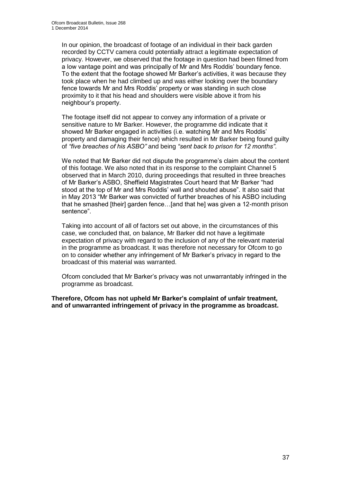In our opinion, the broadcast of footage of an individual in their back garden recorded by CCTV camera could potentially attract a legitimate expectation of privacy. However, we observed that the footage in question had been filmed from a low vantage point and was principally of Mr and Mrs Roddis' boundary fence. To the extent that the footage showed Mr Barker's activities, it was because they took place when he had climbed up and was either looking over the boundary fence towards Mr and Mrs Roddis' property or was standing in such close proximity to it that his head and shoulders were visible above it from his neighbour's property.

The footage itself did not appear to convey any information of a private or sensitive nature to Mr Barker. However, the programme did indicate that it showed Mr Barker engaged in activities (i.e. watching Mr and Mrs Roddis' property and damaging their fence) which resulted in Mr Barker being found guilty of *"five breaches of his ASBO"* and being *"sent back to prison for 12 months"*.

We noted that Mr Barker did not dispute the programme's claim about the content of this footage. We also noted that in its response to the complaint Channel 5 observed that in March 2010, during proceedings that resulted in three breaches of Mr Barker's ASBO, Sheffield Magistrates Court heard that Mr Barker "had stood at the top of Mr and Mrs Roddis' wall and shouted abuse". It also said that in May 2013 "Mr Barker was convicted of further breaches of his ASBO including that he smashed [their] garden fence…[and that he] was given a 12-month prison sentence".

Taking into account of all of factors set out above, in the circumstances of this case, we concluded that, on balance, Mr Barker did not have a legitimate expectation of privacy with regard to the inclusion of any of the relevant material in the programme as broadcast. It was therefore not necessary for Ofcom to go on to consider whether any infringement of Mr Barker's privacy in regard to the broadcast of this material was warranted.

Ofcom concluded that Mr Barker's privacy was not unwarrantably infringed in the programme as broadcast.

**Therefore, Ofcom has not upheld Mr Barker's complaint of unfair treatment, and of unwarranted infringement of privacy in the programme as broadcast.**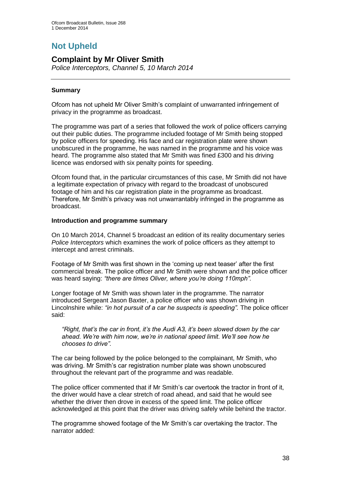# **Not Upheld**

## **Complaint by Mr Oliver Smith**

*Police Interceptors, Channel 5, 10 March 2014*

#### **Summary**

Ofcom has not upheld Mr Oliver Smith's complaint of unwarranted infringement of privacy in the programme as broadcast.

The programme was part of a series that followed the work of police officers carrying out their public duties. The programme included footage of Mr Smith being stopped by police officers for speeding. His face and car registration plate were shown unobscured in the programme, he was named in the programme and his voice was heard. The programme also stated that Mr Smith was fined £300 and his driving licence was endorsed with six penalty points for speeding.

Ofcom found that, in the particular circumstances of this case, Mr Smith did not have a legitimate expectation of privacy with regard to the broadcast of unobscured footage of him and his car registration plate in the programme as broadcast. Therefore, Mr Smith's privacy was not unwarrantably infringed in the programme as broadcast.

#### **Introduction and programme summary**

On 10 March 2014, Channel 5 broadcast an edition of its reality documentary series *Police Interceptors* which examines the work of police officers as they attempt to intercept and arrest criminals.

Footage of Mr Smith was first shown in the 'coming up next teaser' after the first commercial break. The police officer and Mr Smith were shown and the police officer was heard saying: *"there are times Oliver, where you're doing 110mph".* 

Longer footage of Mr Smith was shown later in the programme. The narrator introduced Sergeant Jason Baxter, a police officer who was shown driving in Lincolnshire while: *"in hot pursuit of a car he suspects is speeding".* The police officer said:

*"Right, that's the car in front, it's the Audi A3, it's been slowed down by the car ahead. We're with him now, we're in national speed limit. We'll see how he chooses to drive".*

The car being followed by the police belonged to the complainant, Mr Smith, who was driving. Mr Smith's car registration number plate was shown unobscured throughout the relevant part of the programme and was readable.

The police officer commented that if Mr Smith's car overtook the tractor in front of it, the driver would have a clear stretch of road ahead, and said that he would see whether the driver then drove in excess of the speed limit. The police officer acknowledged at this point that the driver was driving safely while behind the tractor.

The programme showed footage of the Mr Smith's car overtaking the tractor. The narrator added: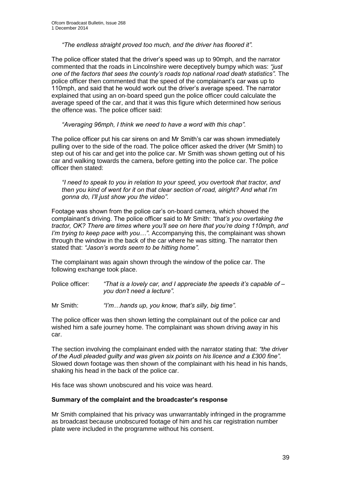*"The endless straight proved too much, and the driver has floored it".*

The police officer stated that the driver's speed was up to 90mph, and the narrator commented that the roads in Lincolnshire were deceptively bumpy which was: *"just one of the factors that sees the county's roads top national road death statistics".* The police officer then commented that the speed of the complainant's car was up to 110mph, and said that he would work out the driver's average speed. The narrator explained that using an on-board speed gun the police officer could calculate the average speed of the car, and that it was this figure which determined how serious the offence was. The police officer said:

*"Averaging 96mph, I think we need to have a word with this chap".*

The police officer put his car sirens on and Mr Smith's car was shown immediately pulling over to the side of the road. The police officer asked the driver (Mr Smith) to step out of his car and get into the police car. Mr Smith was shown getting out of his car and walking towards the camera, before getting into the police car. The police officer then stated:

*"I need to speak to you in relation to your speed, you overtook that tractor, and then you kind of went for it on that clear section of road, alright? And what I'm gonna do, I'll just show you the video".*

Footage was shown from the police car's on-board camera, which showed the complainant's driving. The police officer said to Mr Smith: *"that's you overtaking the tractor, OK? There are times where you'll see on here that you're doing 110mph, and I'm trying to keep pace with you…"*. Accompanying this, the complainant was shown through the window in the back of the car where he was sitting. The narrator then stated that: *"Jason's words seem to be hitting home".*

The complainant was again shown through the window of the police car. The following exchange took place.

Police officer: *"That is a lovely car, and I appreciate the speeds it's capable of – you don't need a lecture".*

Mr Smith: *"I'm…hands up, you know, that's silly, big time".* 

The police officer was then shown letting the complainant out of the police car and wished him a safe journey home. The complainant was shown driving away in his car.

The section involving the complainant ended with the narrator stating that: *"the driver of the Audi pleaded guilty and was given six points on his licence and a £300 fine".*  Slowed down footage was then shown of the complainant with his head in his hands, shaking his head in the back of the police car.

His face was shown unobscured and his voice was heard.

#### **Summary of the complaint and the broadcaster's response**

Mr Smith complained that his privacy was unwarrantably infringed in the programme as broadcast because unobscured footage of him and his car registration number plate were included in the programme without his consent.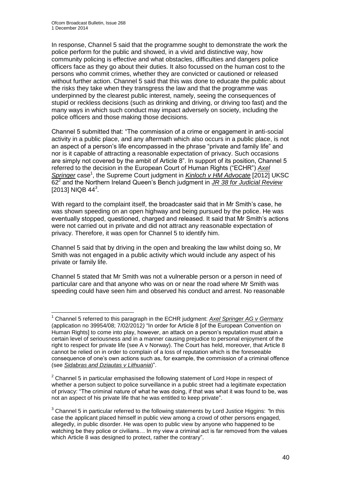1

In response, Channel 5 said that the programme sought to demonstrate the work the police perform for the public and showed, in a vivid and distinctive way, how community policing is effective and what obstacles, difficulties and dangers police officers face as they go about their duties. It also focussed on the human cost to the persons who commit crimes, whether they are convicted or cautioned or released without further action. Channel 5 said that this was done to educate the public about the risks they take when they transgress the law and that the programme was underpinned by the clearest public interest, namely, seeing the consequences of stupid or reckless decisions (such as drinking and driving, or driving too fast) and the many ways in which such conduct may impact adversely on society, including the police officers and those making those decisions.

Channel 5 submitted that: "The commission of a crime or engagement in anti-social activity in a public place, and any aftermath which also occurs in a public place, is not an aspect of a person's life encompassed in the phrase "private and family life" and nor is it capable of attracting a reasonable expectation of privacy. Such occasions are simply not covered by the ambit of Article 8". In support of its position, Channel 5 referred to the decision in the European Court of Human Rights ("ECHR") *Axel*  Springer case<sup>1</sup>, the Supreme Court judgment in *Kinloch v HM Advocate* [2012] UKSC 62*<sup>2</sup>* and the Northern Ireland Queen's Bench judgment in *JR 38 for Judicial Review* [2013] NIQB 44*<sup>3</sup>* .

With regard to the complaint itself, the broadcaster said that in Mr Smith's case, he was shown speeding on an open highway and being pursued by the police. He was eventually stopped, questioned, charged and released. It said that Mr Smith's actions were not carried out in private and did not attract any reasonable expectation of privacy. Therefore, it was open for Channel 5 to identify him.

Channel 5 said that by driving in the open and breaking the law whilst doing so, Mr Smith was not engaged in a public activity which would include any aspect of his private or family life.

Channel 5 stated that Mr Smith was not a vulnerable person or a person in need of particular care and that anyone who was on or near the road where Mr Smith was speeding could have seen him and observed his conduct and arrest. No reasonable

<sup>1</sup> Channel 5 referred to this paragraph in the ECHR judgment: *Axel Springer AG v Germany* (application no 39954/08; 7/02/2012*)* "In order for Article 8 [of the European Convention on Human Rights] to come into play, however, an attack on a person's reputation must attain a certain level of seriousness and in a manner causing prejudice to personal enjoyment of the right to respect for private life (see A v Norway). The Court has held, moreover, that Article 8 cannot be relied on in order to complain of a loss of reputation which is the foreseeable consequence of one's own actions such as, for example, the commission of a criminal offence (see *Sidabras and Dziautas v Lithuania*)".

<sup>&</sup>lt;sup>2</sup> Channel 5 in particular emphasised the following statement of Lord Hope in respect of whether a person subject to police surveillance in a public street had a legitimate expectation of privacy: "The criminal nature of what he was doing, if that was what it was found to be, was not an aspect of his private life that he was entitled to keep private".

<sup>3</sup> Channel 5 in particular referred to the following statements by Lord Justice Higgins: *"*In this case the applicant placed himself in public view among a crowd of other persons engaged, allegedly, in public disorder. He was open to public view by anyone who happened to be watching be they police or civilians… In my view a criminal act is far removed from the values which Article 8 was designed to protect, rather the contrary".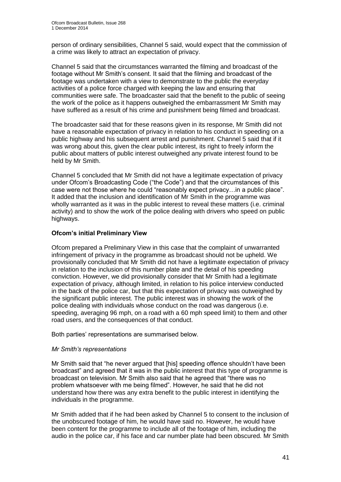person of ordinary sensibilities, Channel 5 said, would expect that the commission of a crime was likely to attract an expectation of privacy.

Channel 5 said that the circumstances warranted the filming and broadcast of the footage without Mr Smith's consent. It said that the filming and broadcast of the footage was undertaken with a view to demonstrate to the public the everyday activities of a police force charged with keeping the law and ensuring that communities were safe. The broadcaster said that the benefit to the public of seeing the work of the police as it happens outweighed the embarrassment Mr Smith may have suffered as a result of his crime and punishment being filmed and broadcast.

The broadcaster said that for these reasons given in its response, Mr Smith did not have a reasonable expectation of privacy in relation to his conduct in speeding on a public highway and his subsequent arrest and punishment. Channel 5 said that if it was wrong about this, given the clear public interest, its right to freely inform the public about matters of public interest outweighed any private interest found to be held by Mr Smith.

Channel 5 concluded that Mr Smith did not have a legitimate expectation of privacy under Ofcom's Broadcasting Code ("the Code") and that the circumstances of this case were not those where he could "reasonably expect privacy…in a public place". It added that the inclusion and identification of Mr Smith in the programme was wholly warranted as it was in the public interest to reveal these matters (i.e. criminal activity) and to show the work of the police dealing with drivers who speed on public highways.

#### **Ofcom's initial Preliminary View**

Ofcom prepared a Preliminary View in this case that the complaint of unwarranted infringement of privacy in the programme as broadcast should not be upheld. We provisionally concluded that Mr Smith did not have a legitimate expectation of privacy in relation to the inclusion of this number plate and the detail of his speeding conviction. However, we did provisionally consider that Mr Smith had a legitimate expectation of privacy, although limited, in relation to his police interview conducted in the back of the police car, but that this expectation of privacy was outweighed by the significant public interest. The public interest was in showing the work of the police dealing with individuals whose conduct on the road was dangerous (i.e. speeding, averaging 96 mph, on a road with a 60 mph speed limit) to them and other road users, and the consequences of that conduct.

Both parties' representations are summarised below.

#### *Mr Smith's representations*

Mr Smith said that "he never argued that [his] speeding offence shouldn't have been broadcast" and agreed that it was in the public interest that this type of programme is broadcast on television. Mr Smith also said that he agreed that "there was no problem whatsoever with me being filmed". However, he said that he did not understand how there was any extra benefit to the public interest in identifying the individuals in the programme.

Mr Smith added that if he had been asked by Channel 5 to consent to the inclusion of the unobscured footage of him, he would have said no. However, he would have been content for the programme to include all of the footage of him, including the audio in the police car, if his face and car number plate had been obscured. Mr Smith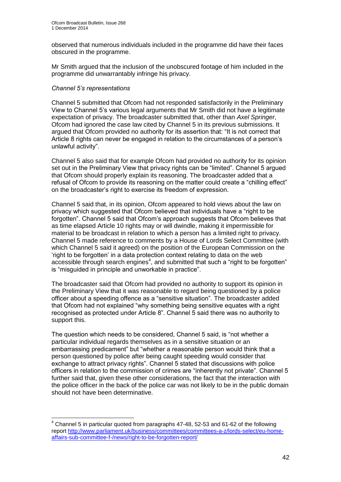observed that numerous individuals included in the programme did have their faces obscured in the programme.

Mr Smith argued that the inclusion of the unobscured footage of him included in the programme did unwarrantably infringe his privacy.

#### *Channel 5's representations*

1

Channel 5 submitted that Ofcom had not responded satisfactorily in the Preliminary View to Channel 5's various legal arguments that Mr Smith did not have a legitimate expectation of privacy. The broadcaster submitted that, other than *Axel Springer*, Ofcom had ignored the case law cited by Channel 5 in its previous submissions. It argued that Ofcom provided no authority for its assertion that: "It is not correct that Article 8 rights can never be engaged in relation to the circumstances of a person's unlawful activity".

Channel 5 also said that for example Ofcom had provided no authority for its opinion set out in the Preliminary View that privacy rights can be "limited". Channel 5 argued that Ofcom should properly explain its reasoning. The broadcaster added that a refusal of Ofcom to provide its reasoning on the matter could create a "chilling effect" on the broadcaster's right to exercise its freedom of expression.

Channel 5 said that, in its opinion, Ofcom appeared to hold views about the law on privacy which suggested that Ofcom believed that individuals have a "right to be forgotten". Channel 5 said that Ofcom's approach suggests that Ofcom believes that as time elapsed Article 10 rights may or will dwindle, making it impermissible for material to be broadcast in relation to which a person has a limited right to privacy. Channel 5 made reference to comments by a House of Lords Select Committee (with which Channel 5 said it agreed) on the position of the European Commission on the 'right to be forgotten' in a data protection context relating to data on the web accessible through search engines $4$ , and submitted that such a "right to be forgotten" is "misguided in principle and unworkable in practice".

The broadcaster said that Ofcom had provided no authority to support its opinion in the Preliminary View that it was reasonable to regard being questioned by a police officer about a speeding offence as a "sensitive situation"*.* The broadcaster added that Ofcom had not explained "why something being sensitive equates with a right recognised as protected under Article 8". Channel 5 said there was no authority to support this.

The question which needs to be considered, Channel 5 said, is "not whether a particular individual regards themselves as in a sensitive situation or an embarrassing predicament" but "whether a reasonable person would think that a person questioned by police after being caught speeding would consider that exchange to attract privacy rights". Channel 5 stated that discussions with police officers in relation to the commission of crimes are "inherently not private". Channel 5 further said that, given these other considerations, the fact that the interaction with the police officer in the back of the police car was not likely to be in the public domain should not have been determinative.

 $4$  Channel 5 in particular quoted from paragraphs 47-48, 52-53 and 61-62 of the following report [http://www.parliament.uk/business/committees/committees-a-z/lords-select/eu-home](http://www.parliament.uk/business/committees/committees-a-z/lords-select/eu-home-affairs-sub-committee-f-/news/right-to-be-forgotten-report/)[affairs-sub-committee-f-/news/right-to-be-forgotten-report/](http://www.parliament.uk/business/committees/committees-a-z/lords-select/eu-home-affairs-sub-committee-f-/news/right-to-be-forgotten-report/)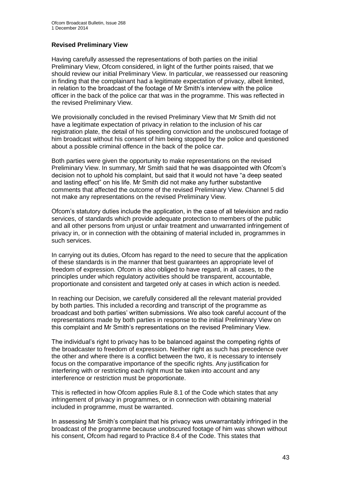#### **Revised Preliminary View**

Having carefully assessed the representations of both parties on the initial Preliminary View, Ofcom considered, in light of the further points raised, that we should review our initial Preliminary View. In particular, we reassessed our reasoning in finding that the complainant had a legitimate expectation of privacy, albeit limited, in relation to the broadcast of the footage of Mr Smith's interview with the police officer in the back of the police car that was in the programme. This was reflected in the revised Preliminary View.

We provisionally concluded in the revised Preliminary View that Mr Smith did not have a legitimate expectation of privacy in relation to the inclusion of his car registration plate, the detail of his speeding conviction and the unobscured footage of him broadcast without his consent of him being stopped by the police and questioned about a possible criminal offence in the back of the police car.

Both parties were given the opportunity to make representations on the revised Preliminary View. In summary, Mr Smith said that he was disappointed with Ofcom's decision not to uphold his complaint, but said that it would not have "a deep seated and lasting effect" on his life. Mr Smith did not make any further substantive comments that affected the outcome of the revised Preliminary View. Channel 5 did not make any representations on the revised Preliminary View.

Ofcom's statutory duties include the application, in the case of all television and radio services, of standards which provide adequate protection to members of the public and all other persons from unjust or unfair treatment and unwarranted infringement of privacy in, or in connection with the obtaining of material included in, programmes in such services.

In carrying out its duties, Ofcom has regard to the need to secure that the application of these standards is in the manner that best guarantees an appropriate level of freedom of expression. Ofcom is also obliged to have regard, in all cases, to the principles under which regulatory activities should be transparent, accountable, proportionate and consistent and targeted only at cases in which action is needed.

In reaching our Decision, we carefully considered all the relevant material provided by both parties. This included a recording and transcript of the programme as broadcast and both parties' written submissions. We also took careful account of the representations made by both parties in response to the initial Preliminary View on this complaint and Mr Smith's representations on the revised Preliminary View.

The individual's right to privacy has to be balanced against the competing rights of the broadcaster to freedom of expression. Neither right as such has precedence over the other and where there is a conflict between the two, it is necessary to intensely focus on the comparative importance of the specific rights. Any justification for interfering with or restricting each right must be taken into account and any interference or restriction must be proportionate.

This is reflected in how Ofcom applies Rule 8.1 of the Code which states that any infringement of privacy in programmes, or in connection with obtaining material included in programme, must be warranted.

In assessing Mr Smith's complaint that his privacy was unwarrantably infringed in the broadcast of the programme because unobscured footage of him was shown without his consent, Ofcom had regard to Practice 8.4 of the Code. This states that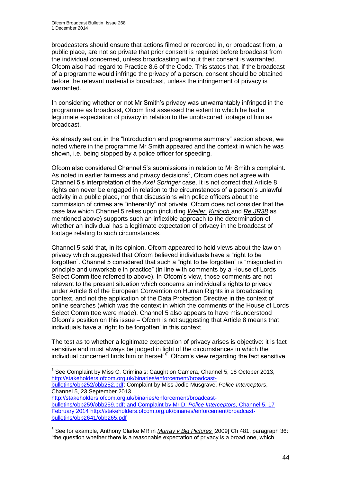broadcasters should ensure that actions filmed or recorded in, or broadcast from, a public place, are not so private that prior consent is required before broadcast from the individual concerned, unless broadcasting without their consent is warranted. Ofcom also had regard to Practice 8.6 of the Code. This states that, if the broadcast of a programme would infringe the privacy of a person, consent should be obtained before the relevant material is broadcast, unless the infringement of privacy is warranted.

In considering whether or not Mr Smith's privacy was unwarrantably infringed in the programme as broadcast, Ofcom first assessed the extent to which he had a legitimate expectation of privacy in relation to the unobscured footage of him as broadcast.

As already set out in the "Introduction and programme summary" section above, we noted where in the programme Mr Smith appeared and the context in which he was shown, i.e. being stopped by a police officer for speeding.

Ofcom also considered Channel 5's submissions in relation to Mr Smith's complaint. As noted in earlier fairness and privacy decisions<sup>5</sup>, Ofcom does not agree with Channel 5's interpretation of the *Axel Springer* case. It is not correct that Article 8 rights can never be engaged in relation to the circumstances of a person's unlawful activity in a public place, nor that discussions with police officers about the commission of crimes are "inherently" not private. Ofcom does not consider that the case law which Channel 5 relies upon (including *Weller, Kinloch* and *Re JR38* as mentioned above) supports such an inflexible approach to the determination of whether an individual has a legitimate expectation of privacy in the broadcast of footage relating to such circumstances.

Channel 5 said that, in its opinion, Ofcom appeared to hold views about the law on privacy which suggested that Ofcom believed individuals have a "right to be forgotten". Channel 5 considered that such a "right to be forgotten" is "misguided in principle and unworkable in practice" (in line with comments by a House of Lords Select Committee referred to above). In Ofcom's view, those comments are not relevant to the present situation which concerns an individual's rights to privacy under Article 8 of the European Convention on Human Rights in a broadcasting context, and not the application of the Data Protection Directive in the context of online searches (which was the context in which the comments of the House of Lords Select Committee were made). Channel 5 also appears to have misunderstood Ofcom's position on this issue – Ofcom is not suggesting that Article 8 means that individuals have a 'right to be forgotten' in this context.

The test as to whether a legitimate expectation of privacy arises is objective: it is fact sensitive and must always be judged in light of the circumstances in which the individual concerned finds him or herself<sup>6</sup>. Ofcom's view regarding the fact sensitive

[bulletins/obb252/obb252.pdf;](http://stakeholders.ofcom.org.uk/binaries/enforcement/broadcast-bulletins/obb252/obb252.pdf) Complaint by Miss Jodie Musgrave, *Police Interceptors*, Channel 5, 23 September 2013.

[http://stakeholders.ofcom.org.uk/binaries/enforcement/broadcast](http://stakeholders.ofcom.org.uk/binaries/enforcement/broadcast-bulletins/obb259/obb259.pdf)[bulletins/obb259/obb259.pdf;](http://stakeholders.ofcom.org.uk/binaries/enforcement/broadcast-bulletins/obb259/obb259.pdf) and Complaint by Mr D, *Police Interceptors,* Channel 5, 17 February 2014 [http://stakeholders.ofcom.org.uk/binaries/enforcement/broadcast](http://stakeholders.ofcom.org.uk/binaries/enforcement/broadcast-bulletins/obb2641/obb265.pdf)[bulletins/obb2641/obb265.pdf](http://stakeholders.ofcom.org.uk/binaries/enforcement/broadcast-bulletins/obb2641/obb265.pdf)

<sup>6</sup> See for example, Anthony Clarke MR in *Murray v Big Pictures* [2009] Ch 481, paragraph 36: "the question whether there is a reasonable expectation of privacy is a broad one, which

 5 See Complaint by Miss C, Criminals: Caught on Camera, Channel 5, 18 October 2013, [http://stakeholders.ofcom.org.uk/binaries/enforcement/broadcast-](http://stakeholders.ofcom.org.uk/binaries/enforcement/broadcast-bulletins/obb252/obb252.pdf)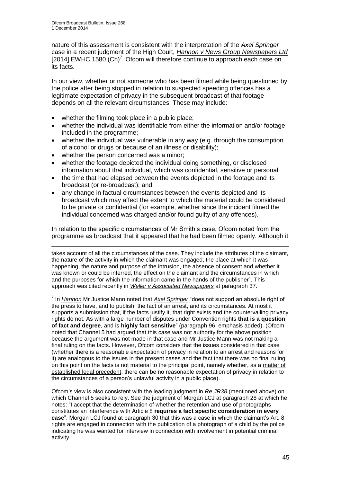nature of this assessment is consistent with the interpretation of the *Axel Springer* case in a recent judgment of the High Court, *Hannon v News Group Newspapers Ltd* [2014] EWHC 1580  $(Ch)^7$ . Ofcom will therefore continue to approach each case on its facts.

In our view, whether or not someone who has been filmed while being questioned by the police after being stopped in relation to suspected speeding offences has a legitimate expectation of privacy in the subsequent broadcast of that footage depends on all the relevant circumstances. These may include:

- whether the filming took place in a public place;
- whether the individual was identifiable from either the information and/or footage included in the programme;
- whether the individual was vulnerable in any way (e.g. through the consumption of alcohol or drugs or because of an illness or disability);
- whether the person concerned was a minor;
- whether the footage depicted the individual doing something, or disclosed information about that individual, which was confidential, sensitive or personal;
- the time that had elapsed between the events depicted in the footage and its broadcast (or re-broadcast); and
- any change in factual circumstances between the events depicted and its broadcast which may affect the extent to which the material could be considered to be private or confidential (for example, whether since the incident filmed the individual concerned was charged and/or found guilty of any offences).

In relation to the specific circumstances of Mr Smith's case, Ofcom noted from the programme as broadcast that it appeared that he had been filmed openly. Although it

1 takes account of all the circumstances of the case. They include the attributes of the claimant, the nature of the activity in which the claimant was engaged, the place at which it was happening, the nature and purpose of the intrusion, the absence of consent and whether it was known or could be inferred, the effect on the claimant and the circumstances in which and the purposes for which the information came in the hands of the publisher". This approach was cited recently in *Weller v Associated Newspapers* at paragraph 37.

7 In *Hannon* Mr Justice Mann noted that *Axel Springer* "does not support an absolute right of the press to have, and to publish, the fact of an arrest, and its circumstances. At most it supports a submission that, if the facts justify it, that right exists and the countervailing privacy rights do not. As with a large number of disputes under Convention rights **that is a question of fact and degree**, and is **highly fact sensitive**" (paragraph 96, emphasis added). (Ofcom noted that Channel 5 had argued that this case was not authority for the above position because the argument was not made in that case and Mr Justice Mann was not making a final ruling on the facts. However, Ofcom considers that the issues considered in that case (whether there is a reasonable expectation of privacy in relation to an arrest and reasons for it) are analogous to the issues in the present cases and the fact that there was no final ruling on this point on the facts is not material to the principal point, namely whether, as a matter of established legal precedent, there can be no reasonable expectation of privacy in relation to the circumstances of a person's unlawful activity in a public place).

Ofcom's view is also consistent with the leading judgment in *Re JR38* (mentioned above) on which Channel 5 seeks to rely. See the judgment of Morgan LCJ at paragraph 28 at which he notes: "I accept that the determination of whether the retention and use of photographs constitutes an interference with Article 8 **requires a fact specific consideration in every case**". Morgan LCJ found at paragraph 30 that this was a case in which the claimant's Art. 8 rights are engaged in connection with the publication of a photograph of a child by the police indicating he was wanted for interview in connection with involvement in potential criminal activity.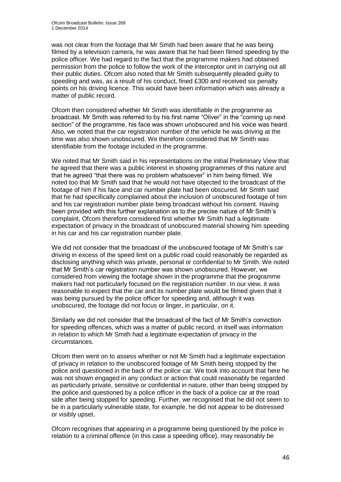was not clear from the footage that Mr Smith had been aware that he was being filmed by a television camera, he was aware that he had been filmed speeding by the police officer. We had regard to the fact that the programme makers had obtained permission from the police to follow the work of the interceptor unit in carrying out all their public duties. Ofcom also noted that Mr Smith subsequently pleaded guilty to speeding and was, as a result of his conduct, fined £300 and received six penalty points on his driving licence. This would have been information which was already a matter of public record.

Ofcom then considered whether Mr Smith was identifiable in the programme as broadcast. Mr Smith was referred to by his first name "Oliver" in the "coming up next section" of the programme, his face was shown unobscured and his voice was heard. Also, we noted that the car registration number of the vehicle he was driving at the time was also shown unobscured. We therefore considered that Mr Smith was identifiable from the footage included in the programme.

We noted that Mr Smith said in his representations on the initial Preliminary View that he agreed that there was a public interest in showing programmes of this nature and that he agreed "that there was no problem whatsoever" in him being filmed. We noted too that Mr Smith said that he would not have objected to the broadcast of the footage of him if his face and car number plate had been obscured. Mr Smith said that he had specifically complained about the inclusion of unobscured footage of him and his car registration number plate being broadcast without his consent. Having been provided with this further explanation as to the precise nature of Mr Smith's complaint, Ofcom therefore considered first whether Mr Smith had a legitimate expectation of privacy in the broadcast of unobscured material showing him speeding in his car and his car registration number plate.

We did not consider that the broadcast of the unobscured footage of Mr Smith's car driving in excess of the speed limit on a public road could reasonably be regarded as disclosing anything which was private, personal or confidential to Mr Smith. We noted that Mr Smith's car registration number was shown unobscured. However, we considered from viewing the footage shown in the programme that the programme makers had not particularly focused on the registration number. In our view, it was reasonable to expect that the car and its number plate would be filmed given that it was being pursued by the police officer for speeding and, although it was unobscured, the footage did not focus or linger, in particular, on it.

Similarly we did not consider that the broadcast of the fact of Mr Smith's conviction for speeding offences, which was a matter of public record, in itself was information in relation to which Mr Smith had a legitimate expectation of privacy in the circumstances.

Ofcom then went on to assess whether or not Mr Smith had a legitimate expectation of privacy in relation to the unobscured footage of Mr Smith being stopped by the police and questioned in the back of the police car. We took into account that here he was not shown engaged in any conduct or action that could reasonably be regarded as particularly private, sensitive or confidential in nature, other than being stopped by the police and questioned by a police officer in the back of a police car at the road side after being stopped for speeding. Further, we recognised that he did not seem to be in a particularly vulnerable state, for example, he did not appear to be distressed or visibly upset.

Ofcom recognises that appearing in a programme being questioned by the police in relation to a criminal offence (in this case a speeding office), may reasonably be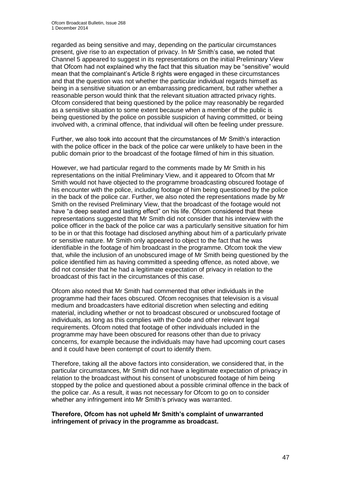regarded as being sensitive and may, depending on the particular circumstances present, give rise to an expectation of privacy. In Mr Smith's case, we noted that Channel 5 appeared to suggest in its representations on the initial Preliminary View that Ofcom had not explained why the fact that this situation may be "sensitive" would mean that the complainant's Article 8 rights were engaged in these circumstances and that the question was not whether the particular individual regards himself as being in a sensitive situation or an embarrassing predicament, but rather whether a reasonable person would think that the relevant situation attracted privacy rights. Ofcom considered that being questioned by the police may reasonably be regarded as a sensitive situation to some extent because when a member of the public is being questioned by the police on possible suspicion of having committed, or being involved with, a criminal offence, that individual will often be feeling under pressure.

Further, we also took into account that the circumstances of Mr Smith's interaction with the police officer in the back of the police car were unlikely to have been in the public domain prior to the broadcast of the footage filmed of him in this situation.

However, we had particular regard to the comments made by Mr Smith in his representations on the initial Preliminary View, and it appeared to Ofcom that Mr Smith would not have objected to the programme broadcasting obscured footage of his encounter with the police, including footage of him being questioned by the police in the back of the police car. Further, we also noted the representations made by Mr Smith on the revised Preliminary View, that the broadcast of the footage would not have "a deep seated and lasting effect" on his life. Ofcom considered that these representations suggested that Mr Smith did not consider that his interview with the police officer in the back of the police car was a particularly sensitive situation for him to be in or that this footage had disclosed anything about him of a particularly private or sensitive nature. Mr Smith only appeared to object to the fact that he was identifiable in the footage of him broadcast in the programme. Ofcom took the view that, while the inclusion of an unobscured image of Mr Smith being questioned by the police identified him as having committed a speeding offence, as noted above, we did not consider that he had a legitimate expectation of privacy in relation to the broadcast of this fact in the circumstances of this case.

Ofcom also noted that Mr Smith had commented that other individuals in the programme had their faces obscured. Ofcom recognises that television is a visual medium and broadcasters have editorial discretion when selecting and editing material, including whether or not to broadcast obscured or unobscured footage of individuals, as long as this complies with the Code and other relevant legal requirements. Ofcom noted that footage of other individuals included in the programme may have been obscured for reasons other than due to privacy concerns, for example because the individuals may have had upcoming court cases and it could have been contempt of court to identify them.

Therefore, taking all the above factors into consideration, we considered that, in the particular circumstances, Mr Smith did not have a legitimate expectation of privacy in relation to the broadcast without his consent of unobscured footage of him being stopped by the police and questioned about a possible criminal offence in the back of the police car. As a result, it was not necessary for Ofcom to go on to consider whether any infringement into Mr Smith's privacy was warranted.

#### **Therefore, Ofcom has not upheld Mr Smith's complaint of unwarranted infringement of privacy in the programme as broadcast.**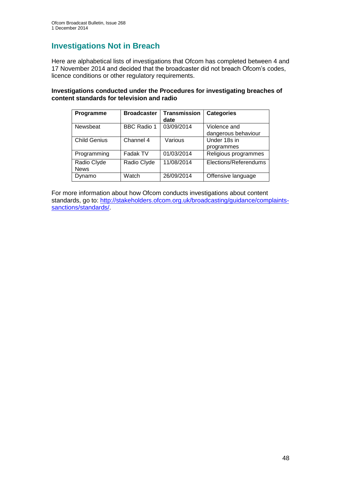## **Investigations Not in Breach**

Here are alphabetical lists of investigations that Ofcom has completed between 4 and 17 November 2014 and decided that the broadcaster did not breach Ofcom's codes, licence conditions or other regulatory requirements.

#### **Investigations conducted under the Procedures for investigating breaches of content standards for television and radio**

| Programme                  | <b>Broadcaster</b> | <b>Transmission</b><br>date | <b>Categories</b>                   |
|----------------------------|--------------------|-----------------------------|-------------------------------------|
| Newsbeat                   | <b>BBC Radio 1</b> | 03/09/2014                  | Violence and<br>dangerous behaviour |
| <b>Child Genius</b>        | Channel 4          | Various                     | Under 18s in<br>programmes          |
| Programming                | Fadak TV           | 01/03/2014                  | Religious programmes                |
| Radio Clyde<br><b>News</b> | Radio Clyde        | 11/08/2014                  | Elections/Referendums               |
| Dynamo                     | Watch              | 26/09/2014                  | Offensive language                  |

For more information about how Ofcom conducts investigations about content standards, go to: [http://stakeholders.ofcom.org.uk/broadcasting/guidance/complaints](http://stakeholders.ofcom.org.uk/broadcasting/guidance/complaints-sanctions/standards/)[sanctions/standards/.](http://stakeholders.ofcom.org.uk/broadcasting/guidance/complaints-sanctions/standards/)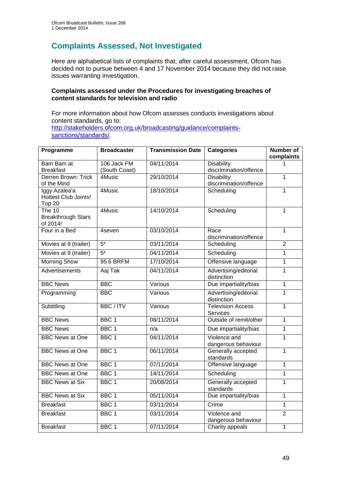## **Complaints Assessed, Not Investigated**

Here are alphabetical lists of complaints that, after careful assessment, Ofcom has decided not to pursue between 4 and 17 November 2014 because they did not raise issues warranting investigation.

#### **Complaints assessed under the Procedures for investigating breaches of content standards for television and radio**

For more information about how Ofcom assesses conducts investigations about content standards, go to: [http://stakeholders.ofcom.org.uk/broadcasting/guidance/complaints](http://stakeholders.ofcom.org.uk/broadcasting/guidance/complaints-sanctions/standards/)[sanctions/standards/.](http://stakeholders.ofcom.org.uk/broadcasting/guidance/complaints-sanctions/standards/)

| Programme                                         | <b>Broadcaster</b>           | <b>Transmission Date</b> | <b>Categories</b>                           | <b>Number of</b><br>complaints |
|---------------------------------------------------|------------------------------|--------------------------|---------------------------------------------|--------------------------------|
| Bam Bam at<br><b>Breakfast</b>                    | 106 Jack FM<br>(South Coast) | 04/11/2014               | <b>Disability</b><br>discrimination/offence | 1                              |
| Derren Brown: Trick<br>of the Mind                | 4Music                       | 29/10/2014               | <b>Disability</b><br>discrimination/offence | $\mathbf{1}$                   |
| Iggy Azalea'a<br>Hottest Club Joints!<br>Top 20   | 4Music                       | 18/10/2014               | Scheduling                                  | $\overline{1}$                 |
| The $10$<br><b>Breakthrough Stars</b><br>of 2014! | 4Music                       | 14/10/2014               | Scheduling                                  | $\overline{1}$                 |
| Four in a Bed                                     | 4seven                       | 03/10/2014               | Race<br>discrimination/offence              | $\overline{1}$                 |
| Movies at 9 (trailer)                             | $5*$                         | 03/11/2014               | Scheduling                                  | $\overline{2}$                 |
| Movies at 9 (trailer)                             | $5^*$                        | 04/11/2014               | Scheduling                                  | $\overline{1}$                 |
| <b>Morning Show</b>                               | 95.6 BRFM                    | 17/10/2014               | Offensive language                          | $\overline{1}$                 |
| <b>Advertisements</b>                             | Aaj Tak                      | 04/11/2014               | Advertising/editorial<br>distinction        | $\mathbf{1}$                   |
| <b>BBC News</b>                                   | <b>BBC</b>                   | Various                  | Due impartiality/bias                       | $\mathbf{1}$                   |
| Programming                                       | <b>BBC</b>                   | Various                  | Advertising/editorial<br>distinction        | $\mathbf{1}$                   |
| Subtitling                                        | <b>BBC/ITV</b>               | Various                  | <b>Television Access</b><br><b>Services</b> | $\overline{1}$                 |
| <b>BBC News</b>                                   | BBC <sub>1</sub>             | 08/11/2014               | Outside of remit/other                      | $\overline{1}$                 |
| <b>BBC News</b>                                   | BBC <sub>1</sub>             | n/a                      | Due impartiality/bias                       | $\overline{1}$                 |
| <b>BBC News at One</b>                            | BBC <sub>1</sub>             | 04/11/2014               | Violence and<br>dangerous behaviour         | $\mathbf{1}$                   |
| <b>BBC News at One</b>                            | BBC <sub>1</sub>             | 06/11/2014               | Generally accepted<br>standards             | $\mathbf{1}$                   |
| <b>BBC News at One</b>                            | BBC <sub>1</sub>             | 07/11/2014               | Offensive language                          | $\overline{1}$                 |
| <b>BBC News at One</b>                            | BBC <sub>1</sub>             | 14/11/2014               | Scheduling                                  | $\mathbf{1}$                   |
| <b>BBC News at Six</b>                            | BBC <sub>1</sub>             | 20/08/2014               | Generally accepted<br>standards             | $\mathbf{1}$                   |
| <b>BBC News at Six</b>                            | BBC <sub>1</sub>             | 05/11/2014               | Due impartiality/bias                       | $\mathbf{1}$                   |
| <b>Breakfast</b>                                  | BBC <sub>1</sub>             | 03/11/2014               | Crime                                       | 1                              |
| <b>Breakfast</b>                                  | BBC <sub>1</sub>             | 03/11/2014               | Violence and<br>dangerous behaviour         | $\overline{2}$                 |
| <b>Breakfast</b>                                  | BBC <sub>1</sub>             | 07/11/2014               | Charity appeals                             | $\overline{1}$                 |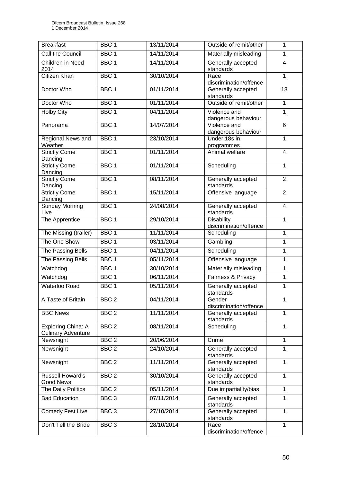| <b>Breakfast</b>                                | BBC <sub>1</sub> | 13/11/2014 | Outside of remit/other                      | $\mathbf{1}$   |
|-------------------------------------------------|------------------|------------|---------------------------------------------|----------------|
| Call the Council                                | BBC <sub>1</sub> | 14/11/2014 | Materially misleading                       | 1              |
| Children in Need<br>2014                        | BBC <sub>1</sub> | 14/11/2014 | Generally accepted<br>standards             | $\overline{4}$ |
| <b>Citizen Khan</b>                             | BBC <sub>1</sub> | 30/10/2014 | Race<br>discrimination/offence              | $\overline{1}$ |
| Doctor Who                                      | BBC <sub>1</sub> | 01/11/2014 | Generally accepted<br>standards             | 18             |
| Doctor Who                                      | BBC <sub>1</sub> | 01/11/2014 | Outside of remit/other                      | $\overline{1}$ |
| <b>Holby City</b>                               | BBC <sub>1</sub> | 04/11/2014 | Violence and<br>dangerous behaviour         | 1              |
| Panorama                                        | BBC <sub>1</sub> | 14/07/2014 | Violence and<br>dangerous behaviour         | $\overline{6}$ |
| Regional News and<br>Weather                    | BBC <sub>1</sub> | 23/10/2014 | Under 18s in<br>programmes                  | $\mathbf{1}$   |
| <b>Strictly Come</b><br>Dancing                 | BBC <sub>1</sub> | 01/11/2014 | Animal welfare                              | 4              |
| <b>Strictly Come</b><br>Dancing                 | BBC <sub>1</sub> | 01/11/2014 | Scheduling                                  | $\overline{1}$ |
| <b>Strictly Come</b><br>Dancing                 | BBC <sub>1</sub> | 08/11/2014 | Generally accepted<br>standards             | $\overline{2}$ |
| <b>Strictly Come</b><br>Dancing                 | BBC <sub>1</sub> | 15/11/2014 | Offensive language                          | $\overline{2}$ |
| <b>Sunday Morning</b><br>Live                   | BBC <sub>1</sub> | 24/08/2014 | Generally accepted<br>standards             | $\overline{4}$ |
| The Apprentice                                  | BBC <sub>1</sub> | 29/10/2014 | <b>Disability</b><br>discrimination/offence | $\mathbf{1}$   |
| The Missing (trailer)                           | BBC <sub>1</sub> | 11/11/2014 | Scheduling                                  | $\mathbf{1}$   |
| The One Show                                    | BBC <sub>1</sub> | 03/11/2014 | Gambling                                    | 1              |
| The Passing Bells                               | BBC <sub>1</sub> | 04/11/2014 | Scheduling                                  | $\overline{1}$ |
| The Passing Bells                               | BBC <sub>1</sub> | 05/11/2014 | Offensive language                          | $\mathbf{1}$   |
| Watchdog                                        | BBC <sub>1</sub> | 30/10/2014 | Materially misleading                       | $\mathbf{1}$   |
| Watchdog                                        | BBC 1            | 06/11/2014 | Fairness & Privacy                          | $\overline{1}$ |
| <b>Waterloo Road</b>                            | BBC <sub>1</sub> | 05/11/2014 | Generally accepted<br>standards             | 1              |
| A Taste of Britain                              | BBC <sub>2</sub> | 04/11/2014 | Gender<br>discrimination/offence            | 1              |
| <b>BBC News</b>                                 | BBC <sub>2</sub> | 11/11/2014 | Generally accepted<br>standards             | $\mathbf{1}$   |
| Exploring China: A<br><b>Culinary Adventure</b> | BBC <sub>2</sub> | 08/11/2014 | Scheduling                                  | $\mathbf{1}$   |
| Newsnight                                       | BBC <sub>2</sub> | 20/06/2014 | Crime                                       | $\mathbf{1}$   |
| Newsnight                                       | BBC <sub>2</sub> | 24/10/2014 | Generally accepted<br>standards             | 1              |
| Newsnight                                       | BBC <sub>2</sub> | 11/11/2014 | Generally accepted<br>standards             | $\mathbf{1}$   |
| <b>Russell Howard's</b><br><b>Good News</b>     | BBC <sub>2</sub> | 30/10/2014 | Generally accepted<br>standards             | 1              |
| The Daily Politics                              | BBC <sub>2</sub> | 05/11/2014 | Due impartiality/bias                       | $\mathbf{1}$   |
| <b>Bad Education</b>                            | BBC <sub>3</sub> | 07/11/2014 | Generally accepted<br>standards             | $\mathbf{1}$   |
| <b>Comedy Fest Live</b>                         | BBC <sub>3</sub> | 27/10/2014 | Generally accepted<br>standards             | 1              |
| Don't Tell the Bride                            | BBC <sub>3</sub> | 28/10/2014 | Race<br>discrimination/offence              | 1              |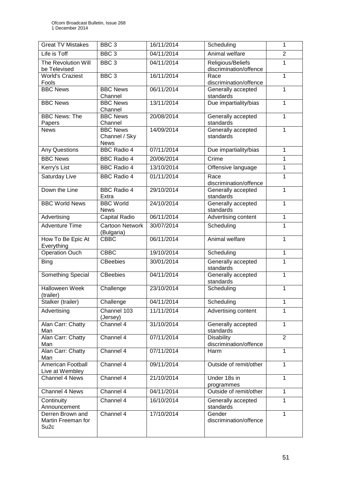| <b>Great TV Mistakes</b>                                   | BBC <sub>3</sub>                                | 16/11/2014 | Scheduling                                  | $\mathbf{1}$   |
|------------------------------------------------------------|-------------------------------------------------|------------|---------------------------------------------|----------------|
| Life is Toff                                               | BBC <sub>3</sub>                                | 04/11/2014 | Animal welfare                              | $\overline{2}$ |
| The Revolution Will<br>be Televised                        | BBC <sub>3</sub>                                | 04/11/2014 | Religious/Beliefs<br>discrimination/offence | $\overline{1}$ |
| <b>World's Craziest</b><br>Fools                           | BBC <sub>3</sub>                                | 16/11/2014 | Race<br>discrimination/offence              | 1              |
| <b>BBC News</b>                                            | <b>BBC News</b><br>Channel                      | 06/11/2014 | Generally accepted<br>standards             | $\mathbf{1}$   |
| <b>BBC News</b>                                            | <b>BBC News</b><br>Channel                      | 13/11/2014 | Due impartiality/bias                       | $\mathbf{1}$   |
| <b>BBC News: The</b><br>Papers                             | <b>BBC News</b><br>Channel                      | 20/08/2014 | Generally accepted<br>standards             | $\mathbf{1}$   |
| <b>News</b>                                                | <b>BBC News</b><br>Channel / Sky<br><b>News</b> | 14/09/2014 | Generally accepted<br>standards             | $\mathbf{1}$   |
| <b>Any Questions</b>                                       | <b>BBC Radio 4</b>                              | 07/11/2014 | Due impartiality/bias                       | 1              |
| <b>BBC News</b>                                            | <b>BBC Radio 4</b>                              | 20/06/2014 | Crime                                       | $\mathbf{1}$   |
| Kerry's List                                               | <b>BBC Radio 4</b>                              | 13/10/2014 | Offensive language                          | $\mathbf{1}$   |
| <b>Saturday Live</b>                                       | <b>BBC Radio 4</b>                              | 01/11/2014 | Race<br>discrimination/offence              | $\mathbf{1}$   |
| Down the Line                                              | <b>BBC Radio 4</b><br>Extra                     | 29/10/2014 | Generally accepted<br>standards             | $\mathbf{1}$   |
| <b>BBC World News</b>                                      | <b>BBC World</b><br><b>News</b>                 | 24/10/2014 | Generally accepted<br>standards             | $\mathbf{1}$   |
| Advertising                                                | Capital Radio                                   | 06/11/2014 | Advertising content                         | 1              |
| <b>Adventure Time</b>                                      | <b>Cartoon Network</b><br>(Bulgaria)            | 30/07/2014 | Scheduling                                  | 1              |
| How To Be Epic At<br>Everything                            | <b>CBBC</b>                                     | 06/11/2014 | Animal welfare                              | 1              |
| <b>Operation Ouch</b>                                      | <b>CBBC</b>                                     | 19/10/2014 | Scheduling                                  | $\mathbf{1}$   |
| <b>Bing</b>                                                | <b>CBeebies</b>                                 | 30/01/2014 | Generally accepted<br>standards             | $\mathbf 1$    |
| Something Special                                          | <b>CBeebies</b>                                 | 04/11/2014 | Generally accepted<br>standards             | $\mathbf{1}$   |
| <b>Halloween Week</b><br>(trailer)                         | Challenge                                       | 23/10/2014 | Scheduling                                  | $\mathbf{1}$   |
| Stalker (trailer)                                          | Challenge                                       | 04/11/2014 | Scheduling                                  | 1              |
| Advertising                                                | Channel 103<br>(Jersey)                         | 11/11/2014 | Advertising content                         | 1              |
| Alan Carr: Chatty<br>Man                                   | Channel 4                                       | 31/10/2014 | Generally accepted<br>standards             | 1              |
| Alan Carr: Chatty<br>Man                                   | Channel 4                                       | 07/11/2014 | <b>Disability</b><br>discrimination/offence | $\overline{2}$ |
| Alan Carr: Chatty<br>Man                                   | Channel 4                                       | 07/11/2014 | Harm                                        | $\mathbf{1}$   |
| American Football<br>Live at Wembley                       | Channel 4                                       | 09/11/2014 | Outside of remit/other                      | $\mathbf{1}$   |
| Channel 4 News                                             | Channel 4                                       | 21/10/2014 | Under 18s in<br>programmes                  | $\mathbf 1$    |
| Channel 4 News                                             | Channel 4                                       | 04/11/2014 | Outside of remit/other                      | 1              |
| Continuity<br>Announcement                                 | Channel 4                                       | 16/10/2014 | Generally accepted<br>standards             | 1              |
| Derren Brown and<br>Martin Freeman for<br>Su <sub>2c</sub> | Channel 4                                       | 17/10/2014 | Gender<br>discrimination/offence            | 1              |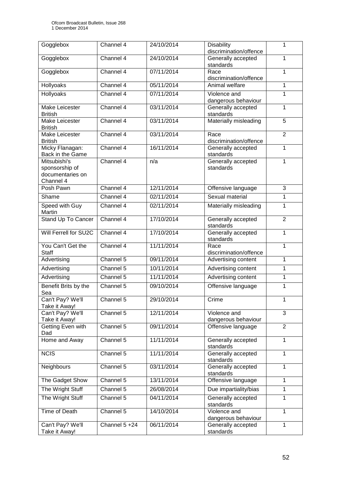| Gogglebox                                                       | Channel 4     | 24/10/2014 | <b>Disability</b><br>discrimination/offence | 1              |
|-----------------------------------------------------------------|---------------|------------|---------------------------------------------|----------------|
| Gogglebox                                                       | Channel 4     | 24/10/2014 | Generally accepted<br>standards             | 1              |
| Gogglebox                                                       | Channel 4     | 07/11/2014 | Race<br>1<br>discrimination/offence         |                |
| Hollyoaks                                                       | Channel 4     | 05/11/2014 | Animal welfare                              | 1              |
| Hollyoaks                                                       | Channel 4     | 07/11/2014 | Violence and<br>dangerous behaviour         | 1              |
| <b>Make Leicester</b><br><b>British</b>                         | Channel 4     | 03/11/2014 | Generally accepted<br>standards             | 1              |
| Make Leicester<br><b>British</b>                                | Channel 4     | 03/11/2014 | Materially misleading                       | 5              |
| Make Leicester<br><b>British</b>                                | Channel 4     | 03/11/2014 | Race<br>discrimination/offence              | $\overline{2}$ |
| Micky Flanagan:<br>Back in the Game                             | Channel 4     | 16/11/2014 | Generally accepted<br>standards             | 1              |
| Mitsubishi's<br>sponsorship of<br>documentaries on<br>Channel 4 | Channel 4     | n/a        | Generally accepted<br>standards             | 1              |
| Posh Pawn                                                       | Channel 4     | 12/11/2014 | Offensive language                          | $\overline{3}$ |
| Shame                                                           | Channel 4     | 02/11/2014 | Sexual material                             | 1              |
| Speed with Guy<br>Martin                                        | Channel 4     | 02/11/2014 | Materially misleading                       | 1              |
| Stand Up To Cancer                                              | Channel 4     | 17/10/2014 | Generally accepted<br>standards             | $\overline{2}$ |
| Will Ferrell for SU2C                                           | Channel 4     | 17/10/2014 | Generally accepted<br>standards             | 1              |
| You Can't Get the<br><b>Staff</b>                               | Channel 4     | 11/11/2014 | Race<br>discrimination/offence              | 1              |
| Advertising                                                     | Channel 5     | 09/11/2014 | Advertising content                         | 1              |
| Advertising                                                     | Channel 5     | 10/11/2014 | Advertising content                         | 1              |
| Advertising                                                     | Channel 5     | 11/11/2014 | Advertising content                         | 1              |
| Benefit Brits by the<br>Sea                                     | Channel 5     | 09/10/2014 | Offensive language                          | 1              |
| Can't Pay? We'll<br>Take it Away!                               | Channel 5     | 29/10/2014 | Crime                                       | 1              |
| Can't Pay? We'll<br>Take it Away!                               | Channel 5     | 12/11/2014 | Violence and<br>dangerous behaviour         | 3              |
| Getting Even with<br>Dad                                        | Channel 5     | 09/11/2014 | Offensive language                          | $\overline{2}$ |
| Home and Away                                                   | Channel 5     | 11/11/2014 | Generally accepted<br>standards             | $\mathbf{1}$   |
| <b>NCIS</b>                                                     | Channel 5     | 11/11/2014 | Generally accepted<br>standards             | $\mathbf{1}$   |
| Neighbours                                                      | Channel 5     | 03/11/2014 | Generally accepted<br>standards             | 1              |
| The Gadget Show                                                 | Channel 5     | 13/11/2014 | Offensive language                          | 1              |
| The Wright Stuff                                                | Channel 5     | 26/08/2014 | Due impartiality/bias                       | 1              |
| The Wright Stuff                                                | Channel 5     | 04/11/2014 | Generally accepted<br>standards             | 1              |
| Time of Death                                                   | Channel 5     | 14/10/2014 | Violence and<br>dangerous behaviour         | 1              |
| Can't Pay? We'll<br>Take it Away!                               | Channel 5 +24 | 06/11/2014 | Generally accepted<br>standards             | 1              |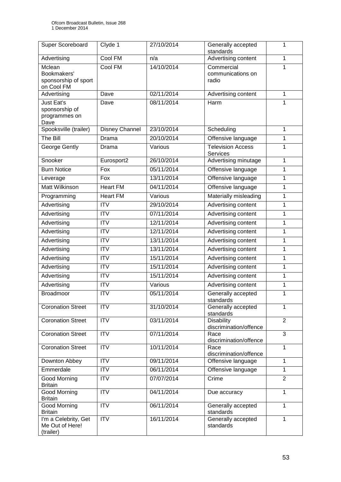| Super Scoreboard                                            | Clyde 1         | 27/10/2014 | Generally accepted<br>standards             | 1              |
|-------------------------------------------------------------|-----------------|------------|---------------------------------------------|----------------|
| Advertising                                                 | Cool FM         | n/a        | Advertising content                         | $\mathbf{1}$   |
| Mclean<br>Bookmakers'<br>sponsorship of sport<br>on Cool FM | Cool FM         | 14/10/2014 | Commercial<br>communications on<br>radio    | 1              |
| Advertising                                                 | Dave            | 02/11/2014 | Advertising content                         | 1              |
| Just Eat's<br>sponsorship of<br>programmes on<br>Dave       | Dave            | 08/11/2014 | Harm                                        | 1              |
| Spooksville (trailer)                                       | Disney Channel  | 23/10/2014 | Scheduling                                  | 1              |
| The Bill                                                    | Drama           | 20/10/2014 | Offensive language                          | 1              |
| George Gently                                               | Drama           | Various    | <b>Television Access</b><br><b>Services</b> | 1              |
| Snooker                                                     | Eurosport2      | 26/10/2014 | Advertising minutage                        | 1              |
| <b>Burn Notice</b>                                          | Fox             | 05/11/2014 | Offensive language                          | 1              |
| Leverage                                                    | Fox             | 13/11/2014 | Offensive language                          | 1              |
| <b>Matt Wilkinson</b>                                       | <b>Heart FM</b> | 04/11/2014 | Offensive language                          | 1              |
| Programming                                                 | <b>Heart FM</b> | Various    | Materially misleading                       | 1              |
| Advertising                                                 | <b>ITV</b>      | 29/10/2014 | Advertising content                         | 1              |
| Advertising                                                 | <b>ITV</b>      | 07/11/2014 | Advertising content                         | 1              |
| Advertising                                                 | <b>ITV</b>      | 12/11/2014 | Advertising content                         | 1              |
| Advertising                                                 | <b>ITV</b>      | 12/11/2014 | Advertising content                         | 1              |
| Advertising                                                 | <b>ITV</b>      | 13/11/2014 | Advertising content                         | $\mathbf{1}$   |
| Advertising                                                 | <b>ITV</b>      | 13/11/2014 | Advertising content                         | 1              |
| Advertising                                                 | <b>ITV</b>      | 15/11/2014 | Advertising content                         | 1              |
| Advertising                                                 | <b>ITV</b>      | 15/11/2014 | Advertising content                         | 1              |
| Advertising                                                 | <b>ITV</b>      | 15/11/2014 | Advertising content                         | 1              |
| Advertising                                                 | <b>ITV</b>      | Various    | Advertising content                         | 1              |
| <b>Broadmoor</b>                                            | $\overline{IV}$ | 05/11/2014 | Generally accepted<br>standards             | 1              |
| <b>Coronation Street</b>                                    | <b>ITV</b>      | 31/10/2014 | Generally accepted<br>standards             | 1              |
| <b>Coronation Street</b>                                    | <b>ITV</b>      | 03/11/2014 | <b>Disability</b><br>discrimination/offence | $\overline{2}$ |
| <b>Coronation Street</b>                                    | $\overline{IV}$ | 07/11/2014 | Race<br>discrimination/offence              | $\overline{3}$ |
| <b>Coronation Street</b>                                    | <b>ITV</b>      | 10/11/2014 | Race<br>discrimination/offence              | $\mathbf{1}$   |
| Downton Abbey                                               | <b>ITV</b>      | 09/11/2014 | Offensive language                          | 1              |
| Emmerdale                                                   | <b>ITV</b>      | 06/11/2014 | Offensive language                          | 1              |
| Good Morning<br><b>Britain</b>                              | <b>ITV</b>      | 07/07/2014 | Crime                                       | $\overline{2}$ |
| <b>Good Morning</b><br><b>Britain</b>                       | <b>ITV</b>      | 04/11/2014 | Due accuracy                                | $\mathbf{1}$   |
| Good Morning<br><b>Britain</b>                              | <b>ITV</b>      | 06/11/2014 | Generally accepted<br>standards             | 1              |
| I'm a Celebrity, Get<br>Me Out of Here!<br>(trailer)        | <b>ITV</b>      | 16/11/2014 | Generally accepted<br>standards             | $\mathbf{1}$   |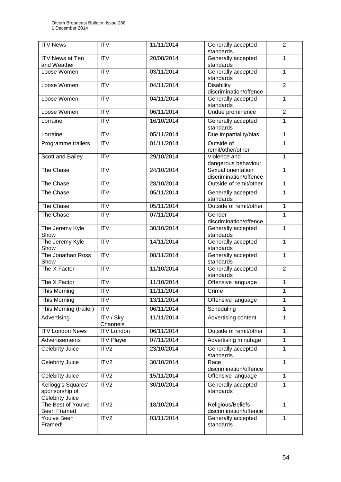| <b>ITV</b> News                                                | <b>ITV</b>                   | 11/11/2014 | Generally accepted<br>standards                        | $\overline{2}$ |
|----------------------------------------------------------------|------------------------------|------------|--------------------------------------------------------|----------------|
| <b>ITV News at Ten</b><br>and Weather                          | $\overline{\text{IV}}$       | 20/08/2014 | Generally accepted<br>standards                        | 1              |
| Loose Women                                                    | <b>ITV</b>                   | 03/11/2014 | Generally accepted<br>standards                        | 1              |
| Loose Women                                                    | $\overline{ITV}$             | 04/11/2014 | $\overline{2}$<br>Disability<br>discrimination/offence |                |
| Loose Women                                                    | <b>ITV</b>                   | 04/11/2014 | Generally accepted<br>standards                        | 1              |
| Loose Women                                                    | $\overline{IV}$              | 06/11/2014 | Undue prominence                                       | $\overline{2}$ |
| Lorraine                                                       | <b>ITV</b>                   | 16/10/2014 | Generally accepted<br>standards                        | 1              |
| Lorraine                                                       | $\overline{ITV}$             | 05/11/2014 | Due impartiality/bias                                  | 1              |
| Programme trailers                                             | ITV                          | 01/11/2014 | Outside of<br>remit/other/other                        | 1              |
| Scott and Bailey                                               | <b>ITV</b>                   | 29/10/2014 | Violence and<br>dangerous behaviour                    | $\overline{1}$ |
| The Chase                                                      | $\overline{ITV}$             | 24/10/2014 | Sexual orientation<br>discrimination/offence           | 1              |
| The Chase                                                      | $\overline{\text{IV}}$       | 28/10/2014 | Outside of remit/other                                 | $\mathbf 1$    |
| The Chase                                                      | <b>ITV</b>                   | 05/11/2014 | Generally accepted<br>standards                        | 1              |
| The Chase                                                      | ITV                          | 05/11/2014 | Outside of remit/other                                 | 1              |
| The Chase                                                      | <b>ITV</b>                   | 07/11/2014 | Gender<br>discrimination/offence                       | 1              |
| The Jeremy Kyle<br>Show                                        | $\overline{ITV}$             | 30/10/2014 | Generally accepted<br>standards                        | 1              |
| The Jeremy Kyle<br>Show                                        | $\overline{ITV}$             | 14/11/2014 | Generally accepted<br>standards                        | $\mathbf 1$    |
| The Jonathan Ross<br>Show                                      | $\overline{IV}$              | 08/11/2014 | Generally accepted<br>standards                        | 1              |
| The X Factor                                                   | $\overline{IV}$              | 11/10/2014 | Generally accepted<br>standards                        | $\overline{2}$ |
| The X Factor                                                   | $\overline{IV}$              | 11/10/2014 | Offensive language                                     | 1              |
| This Morning                                                   | ITV                          | 11/11/2014 | Crime                                                  | 1              |
| <b>This Morning</b>                                            | <b>ITV</b>                   | 13/11/2014 | Offensive language                                     | 1              |
| This Morning (trailer)                                         | <b>ITV</b>                   | 06/11/2014 | Scheduling                                             | 1              |
| Advertising                                                    | <b>ITV / Sky</b><br>Channels | 11/11/2014 | Advertising content                                    | 1              |
| <b>ITV London News</b>                                         | <b>ITV London</b>            | 06/11/2014 | Outside of remit/other                                 | 1              |
| Advertisements                                                 | <b>ITV Player</b>            | 07/11/2014 | Advertising minutage                                   | 1              |
| <b>Celebrity Juice</b>                                         | ITV <sub>2</sub>             | 23/10/2014 | Generally accepted<br>standards                        | 1              |
| Celebrity Juice                                                | ITV2                         | 30/10/2014 | Race<br>discrimination/offence                         | $\mathbf{1}$   |
| Celebrity Juice                                                | ITV2                         | 15/11/2014 | Offensive language                                     | 1              |
| Kellogg's Squares'<br>sponsorship of<br><b>Celebrity Juice</b> | ITV <sub>2</sub>             | 30/10/2014 | Generally accepted<br>standards                        | 1              |
| The Best of You've<br>Been Framed                              | ITV2                         | 18/10/2014 | Religious/Beliefs<br>discrimination/offence            | 1              |
| You've Been<br>Framed!                                         | ITV2                         | 03/11/2014 | Generally accepted<br>standards                        | 1              |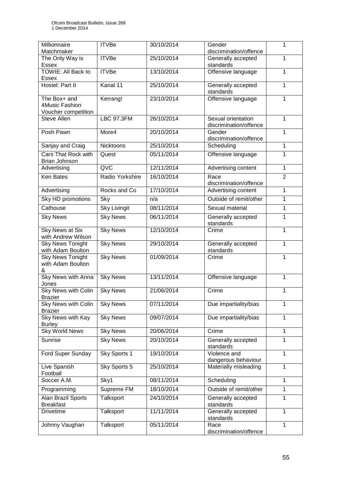| Millionnaire<br>Matchmaker | <b>ITVBe</b>        | 30/10/2014 | Gender<br>discrimination/offence | 1              |
|----------------------------|---------------------|------------|----------------------------------|----------------|
| The Only Way is            | <b>ITVBe</b>        | 25/10/2014 | Generally accepted               | $\mathbf{1}$   |
|                            |                     |            |                                  |                |
| Essex                      |                     |            | standards                        |                |
| TOWIE: All Back to         | <b>ITVBe</b>        | 13/10/2014 | Offensive language               | 1              |
| Essex                      |                     |            |                                  |                |
| Hostel: Part II            | Kanal 11            | 25/10/2014 | Generally accepted               | 1              |
|                            |                     |            | standards                        |                |
|                            |                     |            |                                  |                |
| The Box+ and               | Kerrang!            | 23/10/2014 | Offensive language               | 1              |
| 4Music Fashion             |                     |            |                                  |                |
| Voucher competition        |                     |            |                                  |                |
| Steve Allen                | <b>LBC 97.3FM</b>   | 26/10/2014 | Sexual orientation               | 1              |
|                            |                     |            |                                  |                |
|                            |                     |            | discrimination/offence           |                |
| Posh Pawn                  | More4               | 20/10/2014 | Gender                           | 1              |
|                            |                     |            | discrimination/offence           |                |
| Sanjay and Craig           | Nicktoons           | 25/10/2014 | Scheduling                       | 1              |
|                            |                     |            |                                  |                |
| Cars That Rock with        | Quest               | 05/11/2014 | Offensive language               | $\overline{1}$ |
| Brian Johnson              |                     |            |                                  |                |
|                            | QVC                 |            |                                  |                |
| Advertising                |                     | 12/11/2014 | Advertising content              | $\mathbf{1}$   |
| <b>Ken Bates</b>           | Radio Yorkshire     | 16/10/2014 | Race                             | $\overline{2}$ |
|                            |                     |            | discrimination/offence           |                |
|                            |                     |            |                                  |                |
| Advertising                | Rocks and Co        | 17/10/2014 | Advertising content              | 1              |
| Sky HD promotions          | Sky                 | n/a        | Outside of remit/other           | $\overline{1}$ |
|                            |                     |            |                                  |                |
| Cathouse                   | <b>Sky Livingit</b> | 08/11/2014 | Sexual material                  | 1              |
| <b>Sky News</b>            | <b>Sky News</b>     | 06/11/2014 | Generally accepted               | $\mathbf 1$    |
|                            |                     |            |                                  |                |
|                            |                     |            | standards                        |                |
| Sky News at Six            | <b>Sky News</b>     | 12/10/2014 | Crime                            | 1              |
| with Andrew Wilson         |                     |            |                                  |                |
| <b>Sky News Tonight</b>    | <b>Sky News</b>     | 29/10/2014 | Generally accepted               | $\mathbf{1}$   |
| with Adam Boulton          |                     |            | standards                        |                |
|                            |                     |            |                                  |                |
| <b>Sky News Tonight</b>    | <b>Sky News</b>     | 01/09/2014 | Crime                            | $\mathbf{1}$   |
| with Adam Boulton          |                     |            |                                  |                |
| &                          |                     |            |                                  |                |
| <b>Sky News with Anna</b>  | <b>Sky News</b>     | 13/11/2014 | Offensive language               | $\mathbf{1}$   |
|                            |                     |            |                                  |                |
| Jones                      |                     |            |                                  |                |
| <b>Sky News with Colin</b> | <b>Sky News</b>     | 21/06/2014 | Crime                            | 1              |
| Brazier                    |                     |            |                                  |                |
| <b>Sky News with Colin</b> | <b>Sky News</b>     | 07/11/2014 | Due impartiality/bias            | 1              |
|                            |                     |            |                                  |                |
| <b>Brazier</b>             |                     |            |                                  |                |
| Sky News with Kay          | <b>Sky News</b>     | 09/07/2014 | Due impartiality/bias            | 1              |
| <b>Burley</b>              |                     |            |                                  |                |
| <b>Sky World News</b>      | <b>Sky News</b>     | 20/06/2014 | Crime                            | 1              |
|                            |                     |            |                                  |                |
| Sunrise                    | <b>Sky News</b>     | 20/10/2014 | Generally accepted               | $\mathbf{1}$   |
|                            |                     |            | standards                        |                |
|                            | Sky Sports 1        | 19/10/2014 | Violence and                     | $\mathbf{1}$   |
| Ford Super Sunday          |                     |            |                                  |                |
|                            |                     |            | dangerous behaviour              |                |
| Live Spanish               | Sky Sports 5        | 25/10/2014 | Materially misleading            | 1              |
| Football                   |                     |            |                                  |                |
| Soccer A.M.                | Sky1                | 08/11/2014 | Scheduling                       | $\mathbf{1}$   |
|                            |                     |            |                                  |                |
| Programming                | Supreme FM          | 18/10/2014 | Outside of remit/other           | 1              |
|                            |                     |            |                                  |                |
| Alan Brazil Sports         | Talksport           | 24/10/2014 | Generally accepted               | 1              |
| <b>Breakfast</b>           |                     |            | standards                        |                |
| <b>Drivetime</b>           | Talksport           | 11/11/2014 | Generally accepted               | 1              |
|                            |                     |            | standards                        |                |
|                            |                     |            |                                  |                |
| Johnny Vaughan             | Talksport           | 05/11/2014 | Race                             | $\mathbf{1}$   |
|                            |                     |            | discrimination/offence           |                |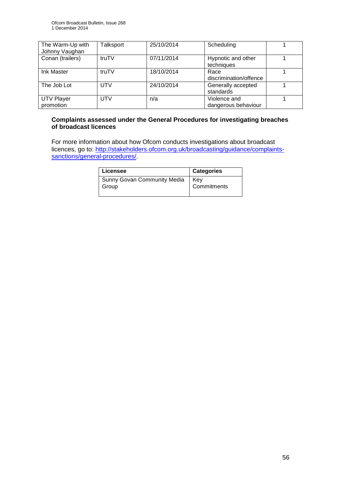| The Warm-Up with<br>Johnny Vaughan | <b>Talksport</b> | 25/10/2014 | Scheduling                          |  |
|------------------------------------|------------------|------------|-------------------------------------|--|
| Conan (trailers)                   | truTV            | 07/11/2014 | Hypnotic and other<br>techniques    |  |
| Ink Master                         | truTV            | 18/10/2014 | Race<br>discrimination/offence      |  |
| The Job Lot                        | UTV              | 24/10/2014 | Generally accepted<br>standards     |  |
| <b>UTV Player</b><br>promotion     | <b>UTV</b>       | n/a        | Violence and<br>dangerous behaviour |  |

#### **Complaints assessed under the General Procedures for investigating breaches of broadcast licences**

For more information about how Ofcom conducts investigations about broadcast licences, go to: [http://stakeholders.ofcom.org.uk/broadcasting/guidance/complaints](http://stakeholders.ofcom.org.uk/broadcasting/guidance/complaints-sanctions/general-procedures/)[sanctions/general-procedures/.](http://stakeholders.ofcom.org.uk/broadcasting/guidance/complaints-sanctions/general-procedures/)

| Licensee                    | <b>Categories</b> |
|-----------------------------|-------------------|
| Sunny Govan Community Media | Kev               |
| Group                       | Commitments       |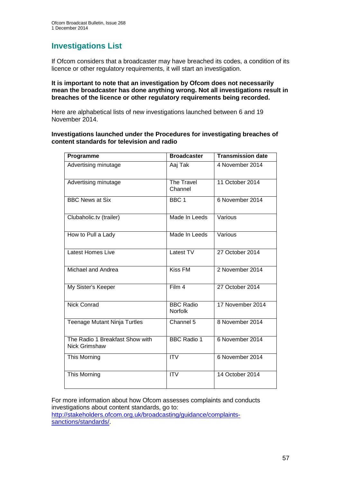## **Investigations List**

If Ofcom considers that a broadcaster may have breached its codes, a condition of its licence or other regulatory requirements, it will start an investigation.

#### **It is important to note that an investigation by Ofcom does not necessarily mean the broadcaster has done anything wrong. Not all investigations result in breaches of the licence or other regulatory requirements being recorded.**

Here are alphabetical lists of new investigations launched between 6 and 19 November 2014.

#### **Investigations launched under the Procedures for investigating breaches of content standards for television and radio**

| Programme                                        | <b>Broadcaster</b>          | <b>Transmission date</b> |
|--------------------------------------------------|-----------------------------|--------------------------|
| Advertising minutage                             | Aaj Tak                     | 4 November 2014          |
| Advertising minutage                             | The Travel<br>Channel       | 11 October 2014          |
| <b>BBC News at Six</b>                           | BBC <sub>1</sub>            | 6 November 2014          |
| Clubaholic.tv (trailer)                          | Made In Leeds               | Various                  |
| How to Pull a Lady                               | Made In Leeds               | Various                  |
| <b>Latest Homes Live</b>                         | Latest TV                   | 27 October 2014          |
| Michael and Andrea                               | <b>Kiss FM</b>              | 2 November 2014          |
| My Sister's Keeper                               | Film 4                      | 27 October 2014          |
| <b>Nick Conrad</b>                               | <b>BBC Radio</b><br>Norfolk | 17 November 2014         |
| <b>Teenage Mutant Ninja Turtles</b>              | Channel 5                   | 8 November 2014          |
| The Radio 1 Breakfast Show with<br>Nick Grimshaw | <b>BBC Radio 1</b>          | 6 November 2014          |
| This Morning                                     | $\overline{\text{IV}}$      | 6 November 2014          |
| This Morning                                     | <b>ITV</b>                  | 14 October 2014          |

For more information about how Ofcom assesses complaints and conducts investigations about content standards, go to: [http://stakeholders.ofcom.org.uk/broadcasting/guidance/complaints](http://stakeholders.ofcom.org.uk/broadcasting/guidance/complaints-sanctions/standards/)[sanctions/standards/.](http://stakeholders.ofcom.org.uk/broadcasting/guidance/complaints-sanctions/standards/)